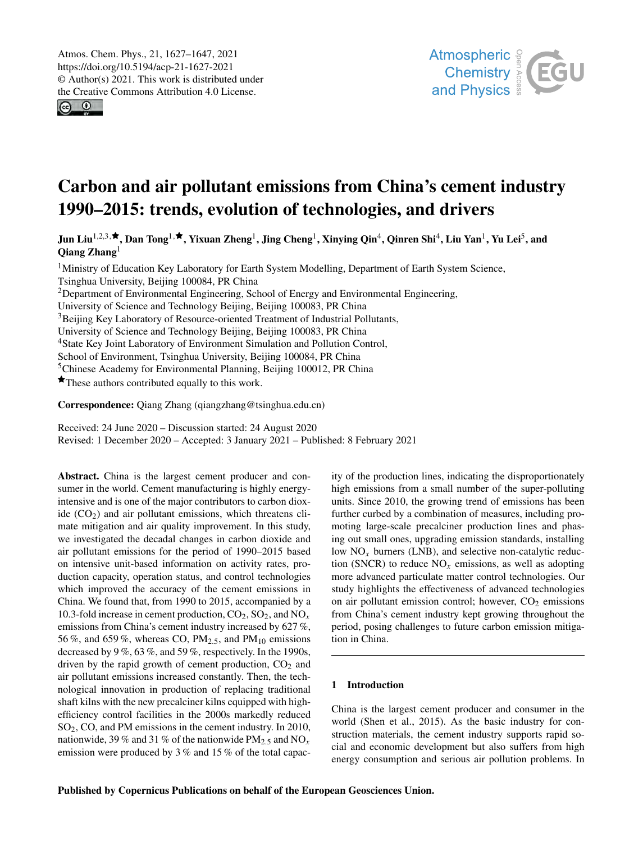$\odot$   $\odot$ 



# Carbon and air pollutant emissions from China's cement industry 1990–2015: trends, evolution of technologies, and drivers

Jun Liu $^{1,2,3,\bigstar}$  $^{1,2,3,\bigstar}$  $^{1,2,3,\bigstar}$ , Dan Tong $^{1,\bigstar}$  $^{1,\bigstar}$  $^{1,\bigstar}$ , Yixuan Zheng $^1$ , Jing Cheng $^1$ , Xinying Qin $^4$  $^4$ , Qinren Shi $^4$ , Liu Yan $^1$ , Yu Lei $^5$  $^5$ , and Qiang Zhang[1](#page-0-0)

 $1$ Ministry of Education Key Laboratory for Earth System Modelling, Department of Earth System Science, Tsinghua University, Beijing 100084, PR China <sup>2</sup>Department of Environmental Engineering, School of Energy and Environmental Engineering, University of Science and Technology Beijing, Beijing 100083, PR China <sup>3</sup>Beijing Key Laboratory of Resource-oriented Treatment of Industrial Pollutants, University of Science and Technology Beijing, Beijing 100083, PR China <sup>4</sup>State Key Joint Laboratory of Environment Simulation and Pollution Control, School of Environment, Tsinghua University, Beijing 100084, PR China <sup>5</sup>Chinese Academy for Environmental Planning, Beijing 100012, PR China  $\star$  These authors contributed equally to this work.

Correspondence: Qiang Zhang (qiangzhang@tsinghua.edu.cn)

Received: 24 June 2020 – Discussion started: 24 August 2020 Revised: 1 December 2020 – Accepted: 3 January 2021 – Published: 8 February 2021

<span id="page-0-0"></span>Abstract. China is the largest cement producer and consumer in the world. Cement manufacturing is highly energyintensive and is one of the major contributors to carbon dioxide  $(CO<sub>2</sub>)$  and air pollutant emissions, which threatens climate mitigation and air quality improvement. In this study, we investigated the decadal changes in carbon dioxide and air pollutant emissions for the period of 1990–2015 based on intensive unit-based information on activity rates, production capacity, operation status, and control technologies which improved the accuracy of the cement emissions in China. We found that, from 1990 to 2015, accompanied by a 10.3-fold increase in cement production,  $CO_2$ ,  $SO_2$ , and  $NO_x$ emissions from China's cement industry increased by 627 %, 56%, and 659%, whereas CO,  $PM_{2,5}$ , and  $PM_{10}$  emissions decreased by 9 %, 63 %, and 59 %, respectively. In the 1990s, driven by the rapid growth of cement production,  $CO<sub>2</sub>$  and air pollutant emissions increased constantly. Then, the technological innovation in production of replacing traditional shaft kilns with the new precalciner kilns equipped with highefficiency control facilities in the 2000s markedly reduced SO2, CO, and PM emissions in the cement industry. In 2010, nationwide, 39 % and 31 % of the nationwide  $PM_{2.5}$  and  $NO_x$ emission were produced by 3 % and 15 % of the total capacity of the production lines, indicating the disproportionately high emissions from a small number of the super-polluting units. Since 2010, the growing trend of emissions has been further curbed by a combination of measures, including promoting large-scale precalciner production lines and phasing out small ones, upgrading emission standards, installing low  $NO<sub>x</sub>$  burners (LNB), and selective non-catalytic reduction (SNCR) to reduce  $NO<sub>x</sub>$  emissions, as well as adopting more advanced particulate matter control technologies. Our study highlights the effectiveness of advanced technologies on air pollutant emission control; however,  $CO<sub>2</sub>$  emissions from China's cement industry kept growing throughout the period, posing challenges to future carbon emission mitigation in China.

# 1 Introduction

China is the largest cement producer and consumer in the world (Shen et al., 2015). As the basic industry for construction materials, the cement industry supports rapid social and economic development but also suffers from high energy consumption and serious air pollution problems. In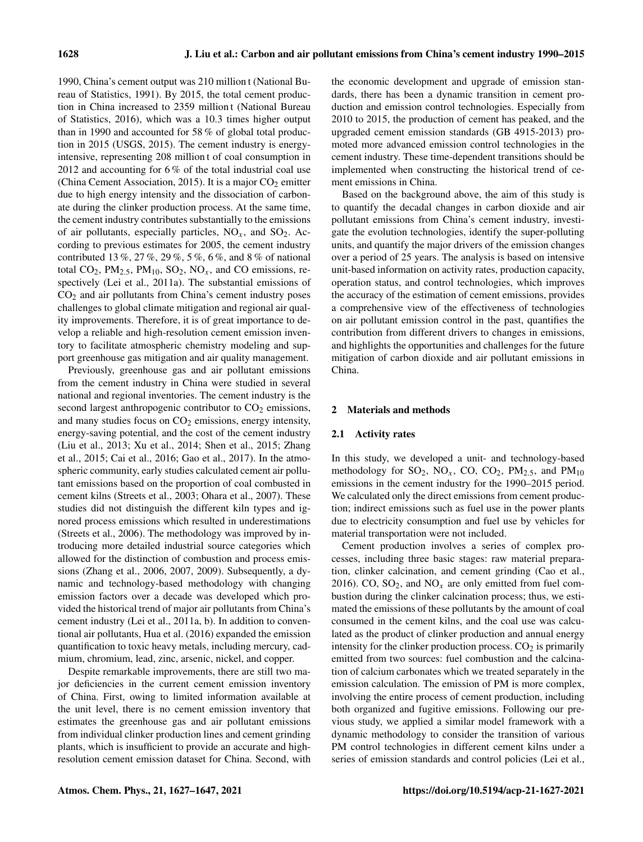1990, China's cement output was 210 million t (National Bureau of Statistics, 1991). By 2015, the total cement production in China increased to 2359 million t (National Bureau of Statistics, 2016), which was a 10.3 times higher output than in 1990 and accounted for 58 % of global total production in 2015 (USGS, 2015). The cement industry is energyintensive, representing 208 million t of coal consumption in 2012 and accounting for 6 % of the total industrial coal use (China Cement Association, 2015). It is a major  $CO<sub>2</sub>$  emitter due to high energy intensity and the dissociation of carbonate during the clinker production process. At the same time, the cement industry contributes substantially to the emissions of air pollutants, especially particles,  $NO_x$ , and  $SO_2$ . According to previous estimates for 2005, the cement industry contributed 13 %, 27 %, 29 %, 5 %, 6 %, and 8 % of national total CO<sub>2</sub>, PM<sub>2.5</sub>, PM<sub>10</sub>, SO<sub>2</sub>, NO<sub>x</sub>, and CO emissions, respectively (Lei et al., 2011a). The substantial emissions of  $CO<sub>2</sub>$  and air pollutants from China's cement industry poses challenges to global climate mitigation and regional air quality improvements. Therefore, it is of great importance to develop a reliable and high-resolution cement emission inventory to facilitate atmospheric chemistry modeling and support greenhouse gas mitigation and air quality management.

Previously, greenhouse gas and air pollutant emissions from the cement industry in China were studied in several national and regional inventories. The cement industry is the second largest anthropogenic contributor to  $CO<sub>2</sub>$  emissions, and many studies focus on  $CO<sub>2</sub>$  emissions, energy intensity, energy-saving potential, and the cost of the cement industry (Liu et al., 2013; Xu et al., 2014; Shen et al., 2015; Zhang et al., 2015; Cai et al., 2016; Gao et al., 2017). In the atmospheric community, early studies calculated cement air pollutant emissions based on the proportion of coal combusted in cement kilns (Streets et al., 2003; Ohara et al., 2007). These studies did not distinguish the different kiln types and ignored process emissions which resulted in underestimations (Streets et al., 2006). The methodology was improved by introducing more detailed industrial source categories which allowed for the distinction of combustion and process emissions (Zhang et al., 2006, 2007, 2009). Subsequently, a dynamic and technology-based methodology with changing emission factors over a decade was developed which provided the historical trend of major air pollutants from China's cement industry (Lei et al., 2011a, b). In addition to conventional air pollutants, Hua et al. (2016) expanded the emission quantification to toxic heavy metals, including mercury, cadmium, chromium, lead, zinc, arsenic, nickel, and copper.

Despite remarkable improvements, there are still two major deficiencies in the current cement emission inventory of China. First, owing to limited information available at the unit level, there is no cement emission inventory that estimates the greenhouse gas and air pollutant emissions from individual clinker production lines and cement grinding plants, which is insufficient to provide an accurate and highresolution cement emission dataset for China. Second, with the economic development and upgrade of emission standards, there has been a dynamic transition in cement production and emission control technologies. Especially from 2010 to 2015, the production of cement has peaked, and the upgraded cement emission standards (GB 4915-2013) promoted more advanced emission control technologies in the cement industry. These time-dependent transitions should be implemented when constructing the historical trend of cement emissions in China.

Based on the background above, the aim of this study is to quantify the decadal changes in carbon dioxide and air pollutant emissions from China's cement industry, investigate the evolution technologies, identify the super-polluting units, and quantify the major drivers of the emission changes over a period of 25 years. The analysis is based on intensive unit-based information on activity rates, production capacity, operation status, and control technologies, which improves the accuracy of the estimation of cement emissions, provides a comprehensive view of the effectiveness of technologies on air pollutant emission control in the past, quantifies the contribution from different drivers to changes in emissions, and highlights the opportunities and challenges for the future mitigation of carbon dioxide and air pollutant emissions in China.

## 2 Materials and methods

#### 2.1 Activity rates

In this study, we developed a unit- and technology-based methodology for  $SO_2$ ,  $NO_x$ ,  $CO$ ,  $CO_2$ ,  $PM_{2.5}$ , and  $PM_{10}$ emissions in the cement industry for the 1990–2015 period. We calculated only the direct emissions from cement production; indirect emissions such as fuel use in the power plants due to electricity consumption and fuel use by vehicles for material transportation were not included.

Cement production involves a series of complex processes, including three basic stages: raw material preparation, clinker calcination, and cement grinding (Cao et al., 2016). CO,  $SO_2$ , and  $NO_x$  are only emitted from fuel combustion during the clinker calcination process; thus, we estimated the emissions of these pollutants by the amount of coal consumed in the cement kilns, and the coal use was calculated as the product of clinker production and annual energy intensity for the clinker production process.  $CO<sub>2</sub>$  is primarily emitted from two sources: fuel combustion and the calcination of calcium carbonates which we treated separately in the emission calculation. The emission of PM is more complex, involving the entire process of cement production, including both organized and fugitive emissions. Following our previous study, we applied a similar model framework with a dynamic methodology to consider the transition of various PM control technologies in different cement kilns under a series of emission standards and control policies (Lei et al.,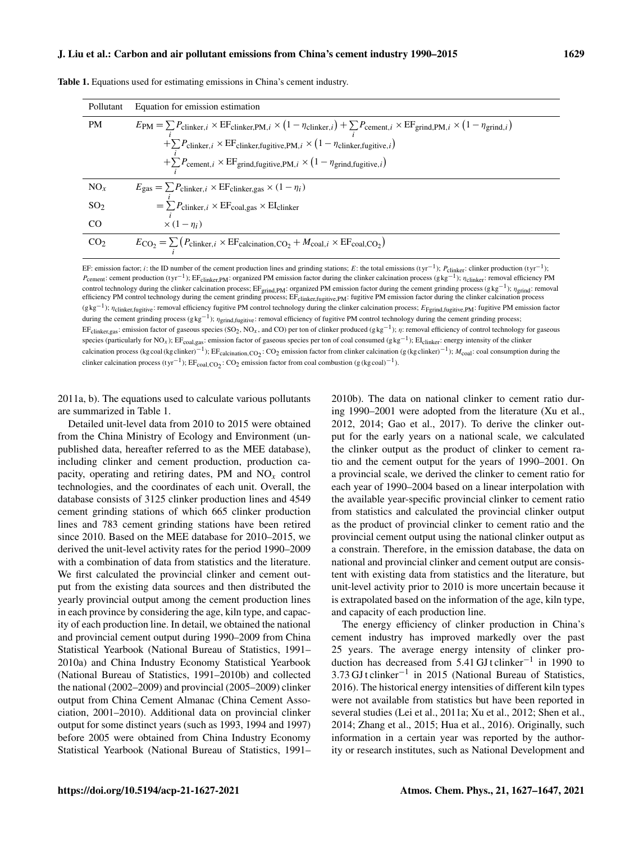#### J. Liu et al.: Carbon and air pollutant emissions from China's cement industry 1990–2015 1629

| Equation for emission estimation                                                                                                                                                                                                         |
|------------------------------------------------------------------------------------------------------------------------------------------------------------------------------------------------------------------------------------------|
| $E_{\text{PM}} = \sum P_{\text{clinker},i} \times \text{EF}_{\text{clinker},\text{PM},i} \times (1 - \eta_{\text{clinker},i}) + \sum P_{\text{cement},i} \times \text{EF}_{\text{grind},\text{PM},i} \times (1 - \eta_{\text{grind},i})$ |
| + $\sum P_{\text{clinker}, i} \times \text{EF}_{\text{clinker, fugitive}, PM, i} \times (1 - \eta_{\text{clinker, fugitive}, i})$                                                                                                        |
| + $\sum P_{\text{cement}, i} \times \text{EF}_{\text{grind, fugitive}, PM, i} \times (1 - \eta_{\text{grind, fugitive}, i})$                                                                                                             |
| $E_{\text{gas}} = \sum P_{\text{clinker},i} \times \text{EF}_{\text{clinker},\text{gas}} \times (1 - \eta_i)$                                                                                                                            |
| $= \sum_i P_{\text{clinker},i} \times \text{EF}_{\text{coal,gas}} \times \text{EI}_{\text{clinker}}$                                                                                                                                     |
| $\times$ (1 – $\eta_i$ )                                                                                                                                                                                                                 |
| $E_{\text{CO}_2} = \sum_i (P_{\text{clinker}, i} \times \text{EF}_{\text{calcination}, \text{CO}_2} + M_{\text{coal}, i} \times \text{EF}_{\text{coal}, \text{CO}_2})$                                                                   |
|                                                                                                                                                                                                                                          |

Table 1. Equations used for estimating emissions in China's cement industry.

EF: emission factor; *i*: the ID number of the cement production lines and grinding stations; E: the total emissions (tyr<sup>-1</sup>);  $P_{\text{clienter}}$ : clinker production (tyr<sup>-1</sup>);  $P_{\text{cement}}$ : cement production (tyr<sup>-1</sup>); EF<sub>clinker,PM</sub>: organized PM emission factor during the clinker calcination process (g kg<sup>-1</sup>);  $\eta_{\text{chiker}}$ : removal efficiency PM control technology during the clinker calcination process; EF<sub>grind,PM</sub>: organized PM emission factor during the cement grinding process ( $g kg^{-1}$ );  $\eta_{\text{grind}}$ : removal efficiency PM control technology during the cement grinding process; EF<sub>clinker,fugitive,PM</sub>: fugitive PM emission factor during the clinker calcination process (g kg<sup>-1</sup>);  $\eta$ <sub>clinker,fugitive</sub>: removal efficiency fugitive PM control technology during the clinker calcination process; E<sub>Fgrind,fugitive,PM</sub>: fugitive PM emission factor during the cement grinding process ( $g kg^{-1}$ );  $\eta_{grid, fugitive}$ : removal efficiency of fugitive PM control technology during the cement grinding process; EF<sub>clinker,gas</sub>: emission factor of gaseous species (SO<sub>2</sub>, NO<sub>x</sub>, and CO) per ton of clinker produced (gkg<sup>-1</sup>); *η*: removal efficiency of control technology for gaseous species (particularly for NO<sub>x</sub>); EF<sub>coal,gas</sub>: emission factor of gaseous species per ton of coal consumed (g kg<sup>-1</sup>); EI<sub>clinker</sub>: energy intensity of the clinker calcination process (kg coal (kg clinker)<sup>-1</sup>); EF<sub>calcination,CO<sub>2</sub>: CO<sub>2</sub> emission factor from clinker calcination (g (kg clinker)<sup>-1</sup>);  $M_{\text{coal}}$ : coal consumption during the</sub> clinker calcination process (tyr<sup>-1</sup>);  $EF_{coal,CO_2}$ : CO<sub>2</sub> emission factor from coal combustion (g (kg coal)<sup>-1</sup>).

2011a, b). The equations used to calculate various pollutants are summarized in Table 1.

Detailed unit-level data from 2010 to 2015 were obtained from the China Ministry of Ecology and Environment (unpublished data, hereafter referred to as the MEE database), including clinker and cement production, production capacity, operating and retiring dates, PM and  $NO<sub>x</sub>$  control technologies, and the coordinates of each unit. Overall, the database consists of 3125 clinker production lines and 4549 cement grinding stations of which 665 clinker production lines and 783 cement grinding stations have been retired since 2010. Based on the MEE database for 2010–2015, we derived the unit-level activity rates for the period 1990–2009 with a combination of data from statistics and the literature. We first calculated the provincial clinker and cement output from the existing data sources and then distributed the yearly provincial output among the cement production lines in each province by considering the age, kiln type, and capacity of each production line. In detail, we obtained the national and provincial cement output during 1990–2009 from China Statistical Yearbook (National Bureau of Statistics, 1991– 2010a) and China Industry Economy Statistical Yearbook (National Bureau of Statistics, 1991–2010b) and collected the national (2002–2009) and provincial (2005–2009) clinker output from China Cement Almanac (China Cement Association, 2001–2010). Additional data on provincial clinker output for some distinct years (such as 1993, 1994 and 1997) before 2005 were obtained from China Industry Economy Statistical Yearbook (National Bureau of Statistics, 1991– 2010b). The data on national clinker to cement ratio during 1990–2001 were adopted from the literature (Xu et al., 2012, 2014; Gao et al., 2017). To derive the clinker output for the early years on a national scale, we calculated the clinker output as the product of clinker to cement ratio and the cement output for the years of 1990–2001. On a provincial scale, we derived the clinker to cement ratio for each year of 1990–2004 based on a linear interpolation with the available year-specific provincial clinker to cement ratio from statistics and calculated the provincial clinker output as the product of provincial clinker to cement ratio and the provincial cement output using the national clinker output as a constrain. Therefore, in the emission database, the data on national and provincial clinker and cement output are consistent with existing data from statistics and the literature, but unit-level activity prior to 2010 is more uncertain because it is extrapolated based on the information of the age, kiln type, and capacity of each production line.

The energy efficiency of clinker production in China's cement industry has improved markedly over the past 25 years. The average energy intensity of clinker production has decreased from 5.41 GJ t clinker−<sup>1</sup> in 1990 to 3.73 GJ t clinker−<sup>1</sup> in 2015 (National Bureau of Statistics, 2016). The historical energy intensities of different kiln types were not available from statistics but have been reported in several studies (Lei et al., 2011a; Xu et al., 2012; Shen et al., 2014; Zhang et al., 2015; Hua et al., 2016). Originally, such information in a certain year was reported by the authority or research institutes, such as National Development and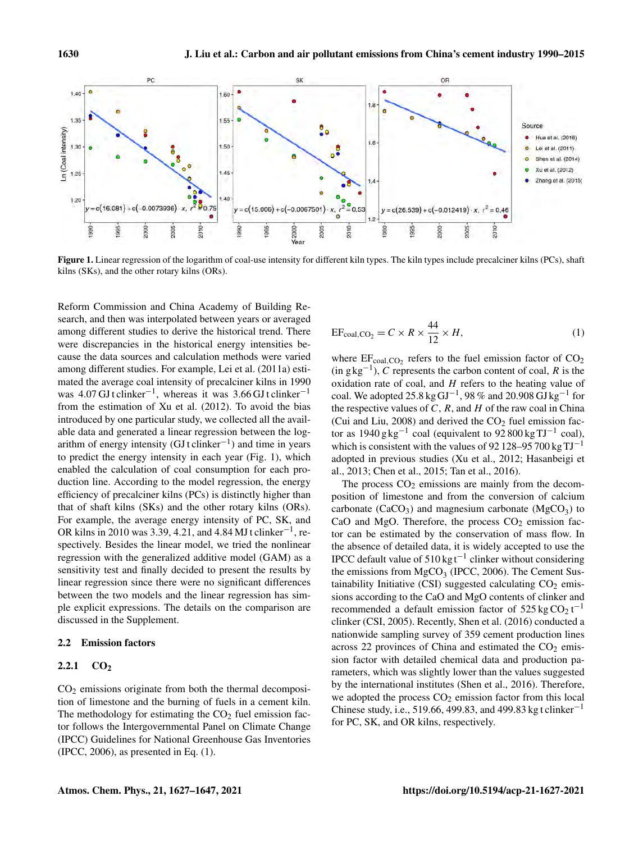

Figure 1. Linear regression of the logarithm of coal-use intensity for different kiln types. The kiln types include precalciner kilns (PCs), shaft kilns (SKs), and the other rotary kilns (ORs).

Reform Commission and China Academy of Building Research, and then was interpolated between years or averaged among different studies to derive the historical trend. There were discrepancies in the historical energy intensities because the data sources and calculation methods were varied among different studies. For example, Lei et al. (2011a) estimated the average coal intensity of precalciner kilns in 1990 was  $4.07 \text{ GJ}$ t clinker<sup>-1</sup>, whereas it was 3.66 GJ t clinker<sup>-1</sup> from the estimation of Xu et al. (2012). To avoid the bias introduced by one particular study, we collected all the available data and generated a linear regression between the logarithm of energy intensity (GJ t clinker−<sup>1</sup> ) and time in years to predict the energy intensity in each year (Fig. 1), which enabled the calculation of coal consumption for each production line. According to the model regression, the energy efficiency of precalciner kilns (PCs) is distinctly higher than that of shaft kilns (SKs) and the other rotary kilns (ORs). For example, the average energy intensity of PC, SK, and OR kilns in 2010 was 3.39, 4.21, and 4.84 MJ t clinker<sup>-1</sup>, respectively. Besides the linear model, we tried the nonlinear regression with the generalized additive model (GAM) as a sensitivity test and finally decided to present the results by linear regression since there were no significant differences between the two models and the linear regression has simple explicit expressions. The details on the comparison are discussed in the Supplement.

# 2.2 Emission factors

## 2.2.1  $CO<sub>2</sub>$

 $CO<sub>2</sub>$  emissions originate from both the thermal decomposition of limestone and the burning of fuels in a cement kiln. The methodology for estimating the  $CO<sub>2</sub>$  fuel emission factor follows the Intergovernmental Panel on Climate Change (IPCC) Guidelines for National Greenhouse Gas Inventories (IPCC, 2006), as presented in Eq. (1).

$$
EF_{\text{coal,CO}_2} = C \times R \times \frac{44}{12} \times H,\tag{1}
$$

where  $EF_{\text{coal,CO}_2}$  refers to the fuel emission factor of  $CO_2$  $(in g kg<sup>-1</sup>), C$  represents the carbon content of coal, R is the oxidation rate of coal, and  $H$  refers to the heating value of coal. We adopted 25.8 kg GJ<sup>-1</sup>, 98% and 20.908 GJ kg<sup>-1</sup> for the respective values of  $C$ ,  $R$ , and  $H$  of the raw coal in China (Cui and Liu, 2008) and derived the  $CO<sub>2</sub>$  fuel emission factor as  $1940 \text{ g kg}^{-1}$  coal (equivalent to  $92800 \text{ kg TJ}^{-1}$  coal), which is consistent with the values of 92 128–95 700 kg  $TJ^{-1}$ adopted in previous studies (Xu et al., 2012; Hasanbeigi et al., 2013; Chen et al., 2015; Tan et al., 2016).

The process  $CO<sub>2</sub>$  emissions are mainly from the decomposition of limestone and from the conversion of calcium carbonate (CaCO<sub>3</sub>) and magnesium carbonate (MgCO<sub>3</sub>) to CaO and MgO. Therefore, the process  $CO<sub>2</sub>$  emission factor can be estimated by the conservation of mass flow. In the absence of detailed data, it is widely accepted to use the IPCC default value of 510 kgt−<sup>1</sup> clinker without considering the emissions from  $MgCO<sub>3</sub>$  (IPCC, 2006). The Cement Sustainability Initiative (CSI) suggested calculating  $CO<sub>2</sub>$  emissions according to the CaO and MgO contents of clinker and recommended a default emission factor of  $525 \text{ kg } CO_2 t^{-1}$ clinker (CSI, 2005). Recently, Shen et al. (2016) conducted a nationwide sampling survey of 359 cement production lines across 22 provinces of China and estimated the  $CO<sub>2</sub>$  emission factor with detailed chemical data and production parameters, which was slightly lower than the values suggested by the international institutes (Shen et al., 2016). Therefore, we adopted the process  $CO<sub>2</sub>$  emission factor from this local Chinese study, i.e., 519.66, 499.83, and 499.83 kg t clinker<sup>-1</sup> for PC, SK, and OR kilns, respectively.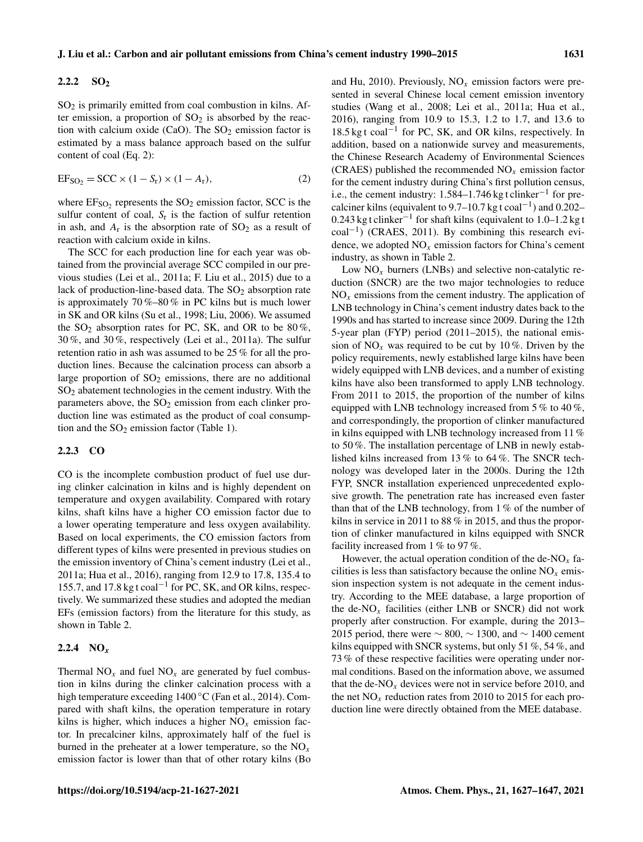# 2.2.2 SO<sub>2</sub>

 $SO<sub>2</sub>$  is primarily emitted from coal combustion in kilns. After emission, a proportion of  $SO<sub>2</sub>$  is absorbed by the reaction with calcium oxide (CaO). The  $SO_2$  emission factor is estimated by a mass balance approach based on the sulfur content of coal (Eq. 2):

$$
EFSO2 = SCC \times (1 - Sr) \times (1 - Ar),
$$
 (2)

where  $E_{\text{SO}_2}$  represents the  $\text{SO}_2$  emission factor, SCC is the sulfur content of coal,  $S_r$  is the faction of sulfur retention in ash, and  $A_r$  is the absorption rate of  $SO_2$  as a result of reaction with calcium oxide in kilns.

The SCC for each production line for each year was obtained from the provincial average SCC compiled in our previous studies (Lei et al., 2011a; F. Liu et al., 2015) due to a lack of production-line-based data. The  $SO<sub>2</sub>$  absorption rate is approximately 70 %–80 % in PC kilns but is much lower in SK and OR kilns (Su et al., 1998; Liu, 2006). We assumed the  $SO_2$  absorption rates for PC, SK, and OR to be 80%, 30 %, and 30 %, respectively (Lei et al., 2011a). The sulfur retention ratio in ash was assumed to be 25 % for all the production lines. Because the calcination process can absorb a large proportion of  $SO_2$  emissions, there are no additional SO<sup>2</sup> abatement technologies in the cement industry. With the parameters above, the  $SO<sub>2</sub>$  emission from each clinker production line was estimated as the product of coal consumption and the  $SO_2$  emission factor (Table 1).

## 2.2.3 CO

CO is the incomplete combustion product of fuel use during clinker calcination in kilns and is highly dependent on temperature and oxygen availability. Compared with rotary kilns, shaft kilns have a higher CO emission factor due to a lower operating temperature and less oxygen availability. Based on local experiments, the CO emission factors from different types of kilns were presented in previous studies on the emission inventory of China's cement industry (Lei et al., 2011a; Hua et al., 2016), ranging from 12.9 to 17.8, 135.4 to 155.7, and 17.8 kg t coal−<sup>1</sup> for PC, SK, and OR kilns, respectively. We summarized these studies and adopted the median EFs (emission factors) from the literature for this study, as shown in Table 2.

# 2.2.4  $NO_x$

Thermal  $NO<sub>x</sub>$  and fuel  $NO<sub>x</sub>$  are generated by fuel combustion in kilns during the clinker calcination process with a high temperature exceeding 1400 ◦C (Fan et al., 2014). Compared with shaft kilns, the operation temperature in rotary kilns is higher, which induces a higher  $NO<sub>x</sub>$  emission factor. In precalciner kilns, approximately half of the fuel is burned in the preheater at a lower temperature, so the  $NO<sub>x</sub>$ emission factor is lower than that of other rotary kilns (Bo and Hu, 2010). Previously,  $NO<sub>x</sub>$  emission factors were presented in several Chinese local cement emission inventory studies (Wang et al., 2008; Lei et al., 2011a; Hua et al., 2016), ranging from 10.9 to 15.3, 1.2 to 1.7, and 13.6 to 18.5 kg t coal−<sup>1</sup> for PC, SK, and OR kilns, respectively. In addition, based on a nationwide survey and measurements, the Chinese Research Academy of Environmental Sciences (CRAES) published the recommended  $NO<sub>x</sub>$  emission factor for the cement industry during China's first pollution census, i.e., the cement industry: 1.584–1.746 kg t clinker<sup>-1</sup> for precalciner kilns (equivalent to 9.7–10.7 kg t coal<sup>-1</sup>) and 0.202– 0.243 kg t clinker−<sup>1</sup> for shaft kilns (equivalent to 1.0–1.2 kg t coal−<sup>1</sup> ) (CRAES, 2011). By combining this research evidence, we adopted  $NO<sub>x</sub>$  emission factors for China's cement industry, as shown in Table 2.

Low  $NO<sub>x</sub>$  burners (LNBs) and selective non-catalytic reduction (SNCR) are the two major technologies to reduce  $NO<sub>x</sub>$  emissions from the cement industry. The application of LNB technology in China's cement industry dates back to the 1990s and has started to increase since 2009. During the 12th 5-year plan (FYP) period (2011–2015), the national emission of  $NO_x$  was required to be cut by 10%. Driven by the policy requirements, newly established large kilns have been widely equipped with LNB devices, and a number of existing kilns have also been transformed to apply LNB technology. From 2011 to 2015, the proportion of the number of kilns equipped with LNB technology increased from  $5\%$  to  $40\%$ , and correspondingly, the proportion of clinker manufactured in kilns equipped with LNB technology increased from 11 % to 50 %. The installation percentage of LNB in newly established kilns increased from 13 % to 64 %. The SNCR technology was developed later in the 2000s. During the 12th FYP, SNCR installation experienced unprecedented explosive growth. The penetration rate has increased even faster than that of the LNB technology, from 1 % of the number of kilns in service in 2011 to 88 % in 2015, and thus the proportion of clinker manufactured in kilns equipped with SNCR facility increased from 1 % to 97 %.

However, the actual operation condition of the de-NO<sub>x</sub> facilities is less than satisfactory because the online  $NO<sub>x</sub>$  emission inspection system is not adequate in the cement industry. According to the MEE database, a large proportion of the de- $NO<sub>x</sub>$  facilities (either LNB or SNCR) did not work properly after construction. For example, during the 2013– 2015 period, there were  $\sim 800$ ,  $\sim 1300$ , and  $\sim 1400$  cement kilns equipped with SNCR systems, but only 51 %, 54 %, and 73 % of these respective facilities were operating under normal conditions. Based on the information above, we assumed that the de-NO<sub>x</sub> devices were not in service before 2010, and the net  $NO<sub>x</sub>$  reduction rates from 2010 to 2015 for each production line were directly obtained from the MEE database.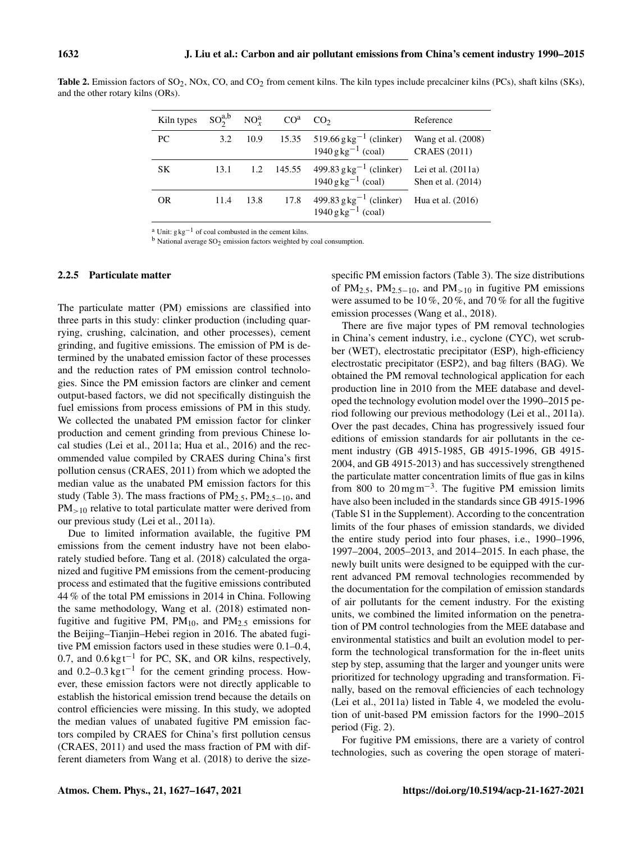| Kiln types | $SO_2^{a,b}$ $NO_r^a$ |      | CO <sup>a</sup> | CO <sub>2</sub>                                                                   | Reference                                  |
|------------|-----------------------|------|-----------------|-----------------------------------------------------------------------------------|--------------------------------------------|
| PC         | 3.2                   | 10.9 |                 | 15.35 $519.66 \text{ g kg}^{-1}$ (clinker)<br>$1940 \text{ g kg}^{-1}$ (coal)     | Wang et al. (2008)<br><b>CRAES</b> (2011)  |
| SK         | 13.1                  |      |                 | 1.2 145.55 499.83 g kg <sup>-1</sup> (clinker)<br>$1940 \text{ g kg}^{-1}$ (coal) | Lei et al. $(2011a)$<br>Shen et al. (2014) |
| <b>OR</b>  | 11.4                  | 13.8 | 17.8            | 499.83 $g kg^{-1}$ (clinker)<br>$1940 \text{ g kg}^{-1}$ (coal)                   | Hua et al. (2016)                          |

Table 2. Emission factors of  $SO_2$ , NOx, CO, and  $CO_2$  from cement kilns. The kiln types include precalciner kilns (PCs), shaft kilns (SKs), and the other rotary kilns (ORs).

<sup>a</sup> Unit:  $g \nvert g^{-1}$  of coal combusted in the cement kilns.

 $<sup>b</sup>$  National average SO<sub>2</sub> emission factors weighted by coal consumption.</sup>

## 2.2.5 Particulate matter

The particulate matter (PM) emissions are classified into three parts in this study: clinker production (including quarrying, crushing, calcination, and other processes), cement grinding, and fugitive emissions. The emission of PM is determined by the unabated emission factor of these processes and the reduction rates of PM emission control technologies. Since the PM emission factors are clinker and cement output-based factors, we did not specifically distinguish the fuel emissions from process emissions of PM in this study. We collected the unabated PM emission factor for clinker production and cement grinding from previous Chinese local studies (Lei et al., 2011a; Hua et al., 2016) and the recommended value compiled by CRAES during China's first pollution census (CRAES, 2011) from which we adopted the median value as the unabated PM emission factors for this study (Table 3). The mass fractions of  $PM_{2.5}$ ,  $PM_{2.5-10}$ , and  $PM_{\geq 10}$  relative to total particulate matter were derived from our previous study (Lei et al., 2011a).

Due to limited information available, the fugitive PM emissions from the cement industry have not been elaborately studied before. Tang et al. (2018) calculated the organized and fugitive PM emissions from the cement-producing process and estimated that the fugitive emissions contributed 44 % of the total PM emissions in 2014 in China. Following the same methodology, Wang et al. (2018) estimated nonfugitive and fugitive PM,  $PM_{10}$ , and  $PM_{2.5}$  emissions for the Beijing–Tianjin–Hebei region in 2016. The abated fugitive PM emission factors used in these studies were 0.1–0.4, 0.7, and 0.6 kgt<sup>-1</sup> for PC, SK, and OR kilns, respectively, and  $0.2-0.3 \text{ kg}t^{-1}$  for the cement grinding process. However, these emission factors were not directly applicable to establish the historical emission trend because the details on control efficiencies were missing. In this study, we adopted the median values of unabated fugitive PM emission factors compiled by CRAES for China's first pollution census (CRAES, 2011) and used the mass fraction of PM with different diameters from Wang et al. (2018) to derive the sizespecific PM emission factors (Table 3). The size distributions of PM<sub>2.5</sub>, PM<sub>2.5−10</sub>, and PM<sub>>10</sub> in fugitive PM emissions were assumed to be 10 %, 20 %, and 70 % for all the fugitive emission processes (Wang et al., 2018).

There are five major types of PM removal technologies in China's cement industry, i.e., cyclone (CYC), wet scrubber (WET), electrostatic precipitator (ESP), high-efficiency electrostatic precipitator (ESP2), and bag filters (BAG). We obtained the PM removal technological application for each production line in 2010 from the MEE database and developed the technology evolution model over the 1990–2015 period following our previous methodology (Lei et al., 2011a). Over the past decades, China has progressively issued four editions of emission standards for air pollutants in the cement industry (GB 4915-1985, GB 4915-1996, GB 4915- 2004, and GB 4915-2013) and has successively strengthened the particulate matter concentration limits of flue gas in kilns from 800 to  $20 \text{ mg m}^{-3}$ . The fugitive PM emission limits have also been included in the standards since GB 4915-1996 (Table S1 in the Supplement). According to the concentration limits of the four phases of emission standards, we divided the entire study period into four phases, i.e., 1990–1996, 1997–2004, 2005–2013, and 2014–2015. In each phase, the newly built units were designed to be equipped with the current advanced PM removal technologies recommended by the documentation for the compilation of emission standards of air pollutants for the cement industry. For the existing units, we combined the limited information on the penetration of PM control technologies from the MEE database and environmental statistics and built an evolution model to perform the technological transformation for the in-fleet units step by step, assuming that the larger and younger units were prioritized for technology upgrading and transformation. Finally, based on the removal efficiencies of each technology (Lei et al., 2011a) listed in Table 4, we modeled the evolution of unit-based PM emission factors for the 1990–2015 period (Fig. 2).

For fugitive PM emissions, there are a variety of control technologies, such as covering the open storage of materi-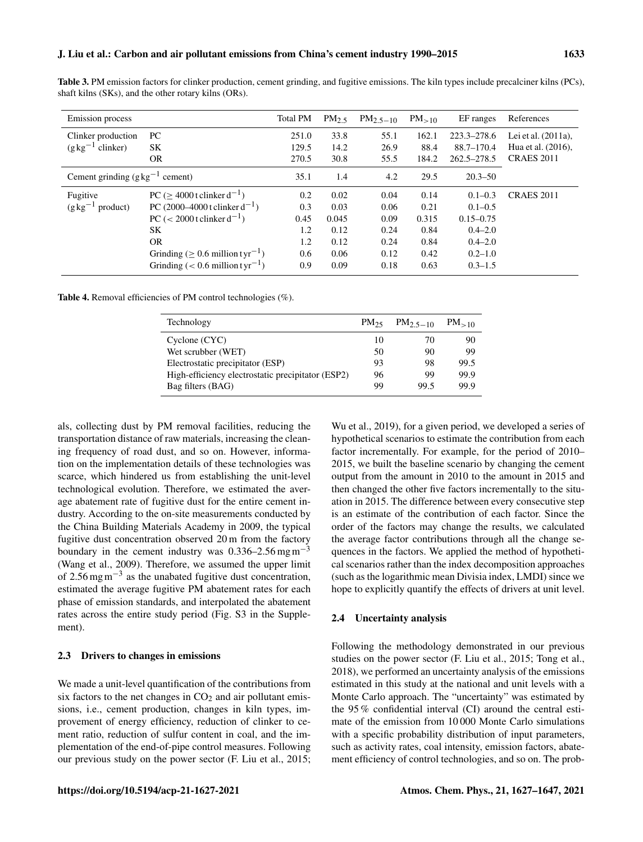|  |                                                      | <b>Table 3.</b> PM emission factors for clinker production, cement grinding, and fugitive emissions. The kiln types include precalciner kilns (PCs), |  |  |
|--|------------------------------------------------------|------------------------------------------------------------------------------------------------------------------------------------------------------|--|--|
|  | shaft kilns (SKs), and the other rotary kilns (ORs). |                                                                                                                                                      |  |  |

| Emission process                        |                                                   | <b>Total PM</b> | PM <sub>2.5</sub> | $PM_{2.5-10}$ | $PM_{>10}$ | EF ranges       | References             |
|-----------------------------------------|---------------------------------------------------|-----------------|-------------------|---------------|------------|-----------------|------------------------|
| Clinker production                      | PС                                                | 251.0           | 33.8              | 55.1          | 162.1      | $223.3 - 278.6$ | Lei et al. $(2011a)$ , |
| $(g \text{ kg}^{-1}$ clinker)           | SK                                                | 129.5           | 14.2              | 26.9          | 88.4       | $88.7 - 170.4$  | Hua et al. (2016),     |
|                                         | <b>OR</b>                                         | 270.5           | 30.8              | 55.5          | 184.2      | 262.5-278.5     | <b>CRAES 2011</b>      |
| Cement grinding $(g \, kg^{-1}$ cement) |                                                   | 35.1            | 1.4               | 4.2           | 29.5       | $20.3 - 50$     |                        |
| Fugitive                                | PC $(> 4000$ t clinker $d^{-1}$ )                 | 0.2             | 0.02              | 0.04          | 0.14       | $0.1 - 0.3$     | <b>CRAES 2011</b>      |
| $(g \text{ kg}^{-1} \text{ product})$   | PC (2000–4000 t clinker $d^{-1}$ )                | 0.3             | 0.03              | 0.06          | 0.21       | $0.1 - 0.5$     |                        |
|                                         | PC (< 2000 t clinker $d^{-1}$ )                   | 0.45            | 0.045             | 0.09          | 0.315      | $0.15 - 0.75$   |                        |
|                                         | SK                                                | 1.2             | 0.12              | 0.24          | 0.84       | $0.4 - 2.0$     |                        |
|                                         | <b>OR</b>                                         | 1.2             | 0.12              | 0.24          | 0.84       | $0.4 - 2.0$     |                        |
|                                         | Grinding ( $\geq 0.6$ million tyr <sup>-1</sup> ) | 0.6             | 0.06              | 0.12          | 0.42       | $0.2 - 1.0$     |                        |
|                                         | Grinding $(< 0.6$ million tyr <sup>-1</sup> )     | 0.9             | 0.09              | 0.18          | 0.63       | $0.3 - 1.5$     |                        |

Table 4. Removal efficiencies of PM control technologies (%).

| Technology                                        | $PM_{25}$ | $PM_{2.5-10}$ | $PM_{>10}$ |
|---------------------------------------------------|-----------|---------------|------------|
| $C$ yclone $(CYC)$                                | 10        | 70            | 90         |
| Wet scrubber (WET)                                | 50        | 90            | 99         |
| Electrostatic precipitator (ESP)                  | 93        | 98            | 99.5       |
| High-efficiency electrostatic precipitator (ESP2) | 96        | 99            | 99.9       |
| Bag filters (BAG)                                 | 99        | 99.5          | 99.9       |

als, collecting dust by PM removal facilities, reducing the transportation distance of raw materials, increasing the cleaning frequency of road dust, and so on. However, information on the implementation details of these technologies was scarce, which hindered us from establishing the unit-level technological evolution. Therefore, we estimated the average abatement rate of fugitive dust for the entire cement industry. According to the on-site measurements conducted by the China Building Materials Academy in 2009, the typical fugitive dust concentration observed 20 m from the factory boundary in the cement industry was  $0.336-2.56$  mg m<sup>-3</sup> (Wang et al., 2009). Therefore, we assumed the upper limit of 2.56 mgm−<sup>3</sup> as the unabated fugitive dust concentration, estimated the average fugitive PM abatement rates for each phase of emission standards, and interpolated the abatement rates across the entire study period (Fig. S3 in the Supplement).

# 2.3 Drivers to changes in emissions

We made a unit-level quantification of the contributions from six factors to the net changes in  $CO<sub>2</sub>$  and air pollutant emissions, i.e., cement production, changes in kiln types, improvement of energy efficiency, reduction of clinker to cement ratio, reduction of sulfur content in coal, and the implementation of the end-of-pipe control measures. Following our previous study on the power sector (F. Liu et al., 2015;

Wu et al., 2019), for a given period, we developed a series of hypothetical scenarios to estimate the contribution from each factor incrementally. For example, for the period of 2010– 2015, we built the baseline scenario by changing the cement output from the amount in 2010 to the amount in 2015 and then changed the other five factors incrementally to the situation in 2015. The difference between every consecutive step is an estimate of the contribution of each factor. Since the order of the factors may change the results, we calculated the average factor contributions through all the change sequences in the factors. We applied the method of hypothetical scenarios rather than the index decomposition approaches (such as the logarithmic mean Divisia index, LMDI) since we hope to explicitly quantify the effects of drivers at unit level.

# 2.4 Uncertainty analysis

Following the methodology demonstrated in our previous studies on the power sector (F. Liu et al., 2015; Tong et al., 2018), we performed an uncertainty analysis of the emissions estimated in this study at the national and unit levels with a Monte Carlo approach. The "uncertainty" was estimated by the 95 % confidential interval (CI) around the central estimate of the emission from 10 000 Monte Carlo simulations with a specific probability distribution of input parameters, such as activity rates, coal intensity, emission factors, abatement efficiency of control technologies, and so on. The prob-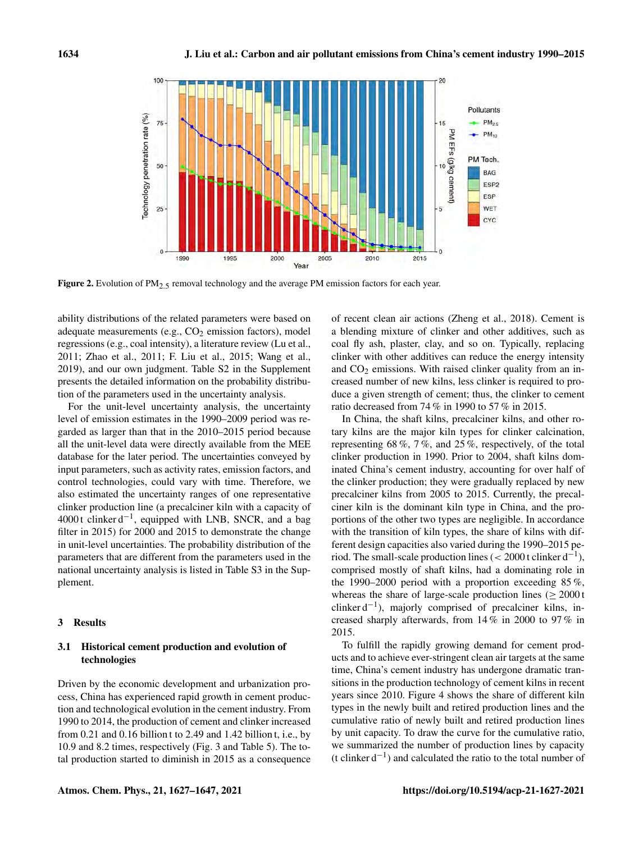

Figure 2. Evolution of  $PM_{2.5}$  removal technology and the average PM emission factors for each year.

ability distributions of the related parameters were based on adequate measurements (e.g.,  $CO<sub>2</sub>$  emission factors), model regressions (e.g., coal intensity), a literature review (Lu et al., 2011; Zhao et al., 2011; F. Liu et al., 2015; Wang et al., 2019), and our own judgment. Table S2 in the Supplement presents the detailed information on the probability distribution of the parameters used in the uncertainty analysis.

For the unit-level uncertainty analysis, the uncertainty level of emission estimates in the 1990–2009 period was regarded as larger than that in the 2010–2015 period because all the unit-level data were directly available from the MEE database for the later period. The uncertainties conveyed by input parameters, such as activity rates, emission factors, and control technologies, could vary with time. Therefore, we also estimated the uncertainty ranges of one representative clinker production line (a precalciner kiln with a capacity of 4000 t clinker d−<sup>1</sup> , equipped with LNB, SNCR, and a bag filter in 2015) for 2000 and 2015 to demonstrate the change in unit-level uncertainties. The probability distribution of the parameters that are different from the parameters used in the national uncertainty analysis is listed in Table S3 in the Supplement.

## 3 Results

# 3.1 Historical cement production and evolution of technologies

Driven by the economic development and urbanization process, China has experienced rapid growth in cement production and technological evolution in the cement industry. From 1990 to 2014, the production of cement and clinker increased from 0.21 and 0.16 billion t to 2.49 and 1.42 billion t, i.e., by 10.9 and 8.2 times, respectively (Fig. 3 and Table 5). The total production started to diminish in 2015 as a consequence of recent clean air actions (Zheng et al., 2018). Cement is a blending mixture of clinker and other additives, such as coal fly ash, plaster, clay, and so on. Typically, replacing clinker with other additives can reduce the energy intensity and  $CO<sub>2</sub>$  emissions. With raised clinker quality from an increased number of new kilns, less clinker is required to produce a given strength of cement; thus, the clinker to cement ratio decreased from 74 % in 1990 to 57 % in 2015.

In China, the shaft kilns, precalciner kilns, and other rotary kilns are the major kiln types for clinker calcination, representing 68 %, 7 %, and 25 %, respectively, of the total clinker production in 1990. Prior to 2004, shaft kilns dominated China's cement industry, accounting for over half of the clinker production; they were gradually replaced by new precalciner kilns from 2005 to 2015. Currently, the precalciner kiln is the dominant kiln type in China, and the proportions of the other two types are negligible. In accordance with the transition of kiln types, the share of kilns with different design capacities also varied during the 1990–2015 period. The small-scale production lines (< 2000 t clinker  $d^{-1}$ ), comprised mostly of shaft kilns, had a dominating role in the 1990–2000 period with a proportion exceeding 85 %, whereas the share of large-scale production lines ( $\geq 2000$  t clinker d−<sup>1</sup> ), majorly comprised of precalciner kilns, increased sharply afterwards, from 14 % in 2000 to 97 % in 2015.

To fulfill the rapidly growing demand for cement products and to achieve ever-stringent clean air targets at the same time, China's cement industry has undergone dramatic transitions in the production technology of cement kilns in recent years since 2010. Figure 4 shows the share of different kiln types in the newly built and retired production lines and the cumulative ratio of newly built and retired production lines by unit capacity. To draw the curve for the cumulative ratio, we summarized the number of production lines by capacity (t clinker d−<sup>1</sup> ) and calculated the ratio to the total number of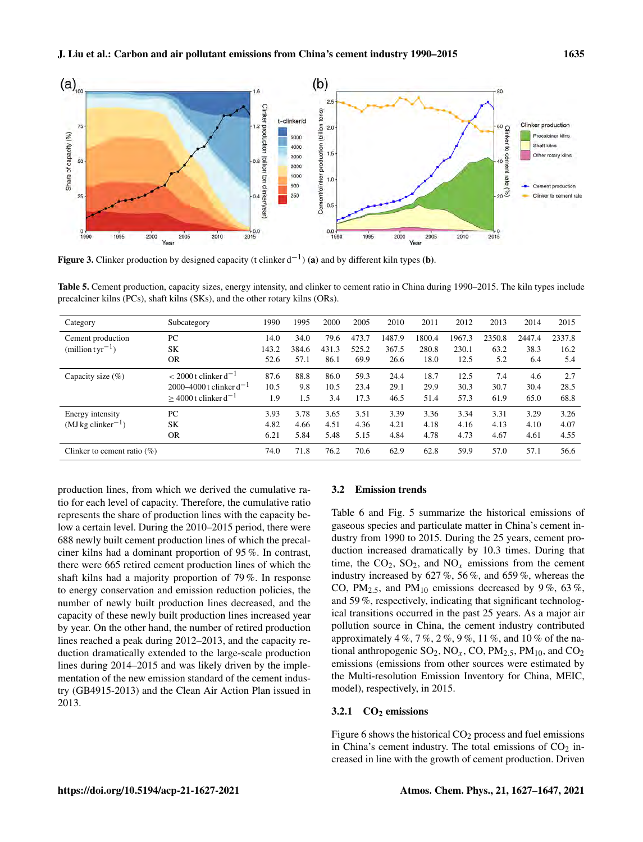

Figure 3. Clinker production by designed capacity (t clinker  $d^{-1}$ ) (a) and by different kiln types (b).

Table 5. Cement production, capacity sizes, energy intensity, and clinker to cement ratio in China during 1990–2015. The kiln types include precalciner kilns (PCs), shaft kilns (SKs), and the other rotary kilns (ORs).

| Category                        | Subcategory                        | 1990  | 1995  | 2000  | 2005  | 2010   | 2011   | 2012   | 2013   | 2014   | 2015   |
|---------------------------------|------------------------------------|-------|-------|-------|-------|--------|--------|--------|--------|--------|--------|
| Cement production               | PC                                 | 14.0  | 34.0  | 79.6  | 473.7 | 1487.9 | 1800.4 | 1967.3 | 2350.8 | 2447.4 | 2337.8 |
| $(million tvr^{-1})$            | <b>SK</b>                          | 143.2 | 384.6 | 431.3 | 525.2 | 367.5  | 280.8  | 230.1  | 63.2   | 38.3   | 16.2   |
|                                 | <b>OR</b>                          | 52.6  | 57.1  | 86.1  | 69.9  | 26.6   | 18.0   | 12.5   | 5.2    | 6.4    | 5.4    |
| Capacity size $(\% )$           | $< 2000$ t clinker d <sup>-1</sup> | 87.6  | 88.8  | 86.0  | 59.3  | 24.4   | 18.7   | 12.5   | 7.4    | 4.6    | 2.7    |
|                                 | 2000–4000 t clinker $d^{-1}$       | 10.5  | 9.8   | 10.5  | 23.4  | 29.1   | 29.9   | 30.3   | 30.7   | 30.4   | 28.5   |
|                                 | $>$ 4000 t clinker d <sup>-1</sup> | 1.9   | 1.5   | 3.4   | 17.3  | 46.5   | 51.4   | 57.3   | 61.9   | 65.0   | 68.8   |
| Energy intensity                | PC                                 | 3.93  | 3.78  | 3.65  | 3.51  | 3.39   | 3.36   | 3.34   | 3.31   | 3.29   | 3.26   |
| $(MJkg$ clinker <sup>-1</sup> ) | <b>SK</b>                          | 4.82  | 4.66  | 4.51  | 4.36  | 4.21   | 4.18   | 4.16   | 4.13   | 4.10   | 4.07   |
|                                 | <b>OR</b>                          | 6.21  | 5.84  | 5.48  | 5.15  | 4.84   | 4.78   | 4.73   | 4.67   | 4.61   | 4.55   |
| Clinker to cement ratio $(\%)$  |                                    | 74.0  | 71.8  | 76.2  | 70.6  | 62.9   | 62.8   | 59.9   | 57.0   | 57.1   | 56.6   |

production lines, from which we derived the cumulative ratio for each level of capacity. Therefore, the cumulative ratio represents the share of production lines with the capacity below a certain level. During the 2010–2015 period, there were 688 newly built cement production lines of which the precalciner kilns had a dominant proportion of 95 %. In contrast, there were 665 retired cement production lines of which the shaft kilns had a majority proportion of 79 %. In response to energy conservation and emission reduction policies, the number of newly built production lines decreased, and the capacity of these newly built production lines increased year by year. On the other hand, the number of retired production lines reached a peak during 2012–2013, and the capacity reduction dramatically extended to the large-scale production lines during 2014–2015 and was likely driven by the implementation of the new emission standard of the cement industry (GB4915-2013) and the Clean Air Action Plan issued in 2013.

## 3.2 Emission trends

Table 6 and Fig. 5 summarize the historical emissions of gaseous species and particulate matter in China's cement industry from 1990 to 2015. During the 25 years, cement production increased dramatically by 10.3 times. During that time, the  $CO_2$ ,  $SO_2$ , and  $NO_x$  emissions from the cement industry increased by 627 %, 56 %, and 659 %, whereas the CO, PM<sub>2.5</sub>, and PM<sub>10</sub> emissions decreased by 9%, 63%, and 59 %, respectively, indicating that significant technological transitions occurred in the past 25 years. As a major air pollution source in China, the cement industry contributed approximately 4 %, 7 %, 2 %, 9 %, 11 %, and 10 % of the national anthropogenic  $SO_2$ ,  $NO_x$ ,  $CO$ ,  $PM_2$ ,  $SM_{10}$ , and  $CO_2$ emissions (emissions from other sources were estimated by the Multi-resolution Emission Inventory for China, MEIC, model), respectively, in 2015.

#### 3.2.1  $CO<sub>2</sub>$  emissions

Figure 6 shows the historical  $CO<sub>2</sub>$  process and fuel emissions in China's cement industry. The total emissions of  $CO<sub>2</sub>$  increased in line with the growth of cement production. Driven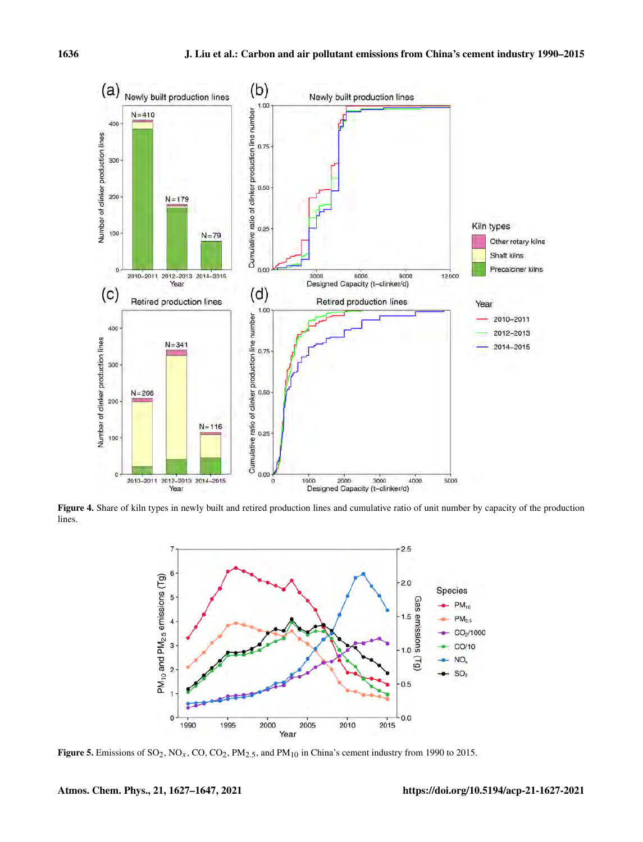

Figure 4. Share of kiln types in newly built and retired production lines and cumulative ratio of unit number by capacity of the production lines.



Figure 5. Emissions of  $SO_2$ ,  $NO_x$ ,  $CO$ ,  $CO_2$ ,  $PM_{2.5}$ , and  $PM_{10}$  in China's cement industry from 1990 to 2015.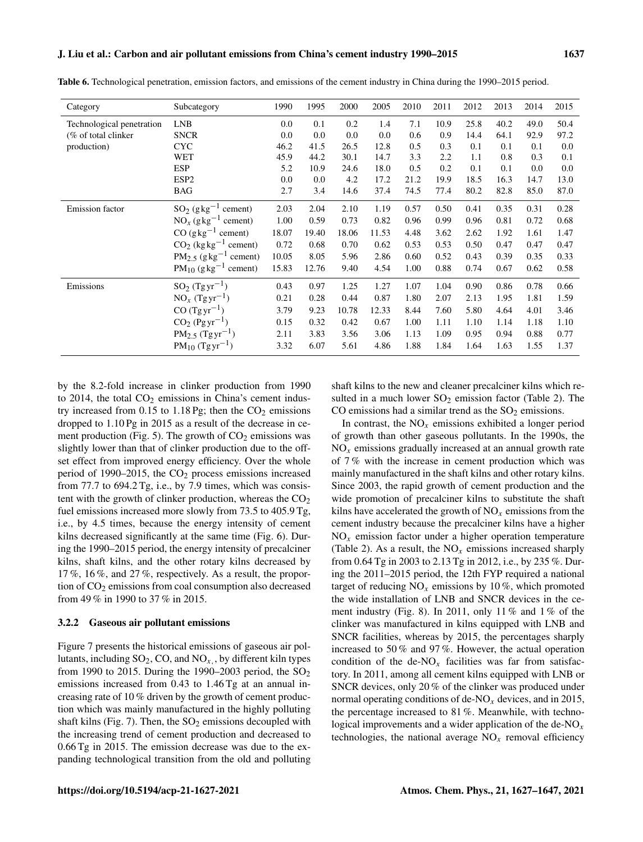| Subcategory                            | 1990                                                                       | 1995  | 2000  | 2005  | 2010 | 2011 | 2012 | 2013 | 2014 | 2015 |
|----------------------------------------|----------------------------------------------------------------------------|-------|-------|-------|------|------|------|------|------|------|
| <b>LNB</b>                             | 0.0                                                                        | 0.1   | 0.2   | 1.4   | 7.1  | 10.9 | 25.8 | 40.2 | 49.0 | 50.4 |
| <b>SNCR</b>                            | 0.0                                                                        | 0.0   | 0.0   | 0.0   | 0.6  | 0.9  | 14.4 | 64.1 | 92.9 | 97.2 |
| <b>CYC</b>                             | 46.2                                                                       | 41.5  | 26.5  | 12.8  | 0.5  | 0.3  | 0.1  | 0.1  | 0.1  | 0.0  |
| <b>WET</b>                             | 45.9                                                                       | 44.2  | 30.1  | 14.7  | 3.3  | 2.2  | 1.1  | 0.8  | 0.3  | 0.1  |
| <b>ESP</b>                             | 5.2                                                                        | 10.9  | 24.6  | 18.0  | 0.5  | 0.2  | 0.1  | 0.1  | 0.0  | 0.0  |
| ESP <sub>2</sub>                       | 0.0                                                                        | 0.0   | 4.2   | 17.2  | 21.2 | 19.9 | 18.5 | 16.3 | 14.7 | 13.0 |
| <b>BAG</b>                             | 2.7                                                                        | 3.4   | 14.6  | 37.4  | 74.5 | 77.4 | 80.2 | 82.8 | 85.0 | 87.0 |
| $SO_2$ (gkg <sup>-1</sup> )<br>cement) | 2.03                                                                       | 2.04  | 2.10  | 1.19  | 0.57 | 0.50 | 0.41 | 0.35 | 0.31 | 0.28 |
| $NO_x (g kg-1 cement)$                 | 1.00                                                                       | 0.59  | 0.73  | 0.82  | 0.96 | 0.99 | 0.96 | 0.81 | 0.72 | 0.68 |
| $CO (g \text{kg}^{-1} \text{ cement})$ | 18.07                                                                      | 19.40 | 18.06 | 11.53 | 4.48 | 3.62 | 2.62 | 1.92 | 1.61 | 1.47 |
| $CO2$ (kg kg <sup>-1</sup> cement)     | 0.72                                                                       | 0.68  | 0.70  | 0.62  | 0.53 | 0.53 | 0.50 | 0.47 | 0.47 | 0.47 |
|                                        | 10.05                                                                      | 8.05  | 5.96  | 2.86  | 0.60 | 0.52 | 0.43 | 0.39 | 0.35 | 0.33 |
| $PM_{10}$ (g kg <sup>-1</sup> cement)  | 15.83                                                                      | 12.76 | 9.40  | 4.54  | 1.00 | 0.88 | 0.74 | 0.67 | 0.62 | 0.58 |
| $SO_2$ (Tgyr <sup>-1</sup> )           | 0.43                                                                       | 0.97  | 1.25  | 1.27  | 1.07 | 1.04 | 0.90 | 0.86 | 0.78 | 0.66 |
| $NO_x (Tgyr^{-1})$                     | 0.21                                                                       | 0.28  | 0.44  | 0.87  | 1.80 | 2.07 | 2.13 | 1.95 | 1.81 | 1.59 |
| $CO (Tgyr^{-1})$                       | 3.79                                                                       | 9.23  | 10.78 | 12.33 | 8.44 | 7.60 | 5.80 | 4.64 | 4.01 | 3.46 |
| $CO2 (Pgyr-1)$                         | 0.15                                                                       | 0.32  | 0.42  | 0.67  | 1.00 | 1.11 | 1.10 | 1.14 | 1.18 | 1.10 |
|                                        | 2.11                                                                       | 3.83  | 3.56  | 3.06  | 1.13 | 1.09 | 0.95 | 0.94 | 0.88 | 0.77 |
| $PM_{10}$ (Tg yr <sup>-1</sup> )       | 3.32                                                                       | 6.07  | 5.61  | 4.86  | 1.88 | 1.84 | 1.64 | 1.63 | 1.55 | 1.37 |
|                                        | $PM_{2.5}$ (g kg <sup>-1</sup> cement)<br>$PM_{2.5}$ (Tgyr <sup>-1</sup> ) |       |       |       |      |      |      |      |      |      |

Table 6. Technological penetration, emission factors, and emissions of the cement industry in China during the 1990–2015 period.

by the 8.2-fold increase in clinker production from 1990 to 2014, the total  $CO<sub>2</sub>$  emissions in China's cement industry increased from 0.15 to 1.18 Pg; then the  $CO<sub>2</sub>$  emissions dropped to 1.10 Pg in 2015 as a result of the decrease in cement production (Fig. 5). The growth of  $CO<sub>2</sub>$  emissions was slightly lower than that of clinker production due to the offset effect from improved energy efficiency. Over the whole period of 1990–2015, the  $CO<sub>2</sub>$  process emissions increased from 77.7 to 694.2 Tg, i.e., by 7.9 times, which was consistent with the growth of clinker production, whereas the  $CO<sub>2</sub>$ fuel emissions increased more slowly from 73.5 to 405.9 Tg, i.e., by 4.5 times, because the energy intensity of cement kilns decreased significantly at the same time (Fig. 6). During the 1990–2015 period, the energy intensity of precalciner kilns, shaft kilns, and the other rotary kilns decreased by 17 %, 16 %, and 27 %, respectively. As a result, the proportion of  $CO<sub>2</sub>$  emissions from coal consumption also decreased from 49 % in 1990 to 37 % in 2015.

# 3.2.2 Gaseous air pollutant emissions

Figure 7 presents the historical emissions of gaseous air pollutants, including  $SO_2$ , CO, and  $NO_x$ , by different kiln types from 1990 to 2015. During the 1990–2003 period, the  $SO_2$ emissions increased from 0.43 to 1.46 Tg at an annual increasing rate of 10 % driven by the growth of cement production which was mainly manufactured in the highly polluting shaft kilns (Fig. 7). Then, the  $SO_2$  emissions decoupled with the increasing trend of cement production and decreased to 0.66 Tg in 2015. The emission decrease was due to the expanding technological transition from the old and polluting shaft kilns to the new and cleaner precalciner kilns which resulted in a much lower  $SO_2$  emission factor (Table 2). The CO emissions had a similar trend as the  $SO<sub>2</sub>$  emissions.

In contrast, the  $NO<sub>x</sub>$  emissions exhibited a longer period of growth than other gaseous pollutants. In the 1990s, the  $NO<sub>x</sub>$  emissions gradually increased at an annual growth rate of 7 % with the increase in cement production which was mainly manufactured in the shaft kilns and other rotary kilns. Since 2003, the rapid growth of cement production and the wide promotion of precalciner kilns to substitute the shaft kilns have accelerated the growth of  $NO<sub>x</sub>$  emissions from the cement industry because the precalciner kilns have a higher  $NO<sub>x</sub>$  emission factor under a higher operation temperature (Table 2). As a result, the  $NO_x$  emissions increased sharply from 0.64 Tg in 2003 to 2.13 Tg in 2012, i.e., by 235 %. During the 2011–2015 period, the 12th FYP required a national target of reducing  $NO_x$  emissions by 10%, which promoted the wide installation of LNB and SNCR devices in the cement industry (Fig. 8). In 2011, only 11 % and 1 % of the clinker was manufactured in kilns equipped with LNB and SNCR facilities, whereas by 2015, the percentages sharply increased to 50 % and 97 %. However, the actual operation condition of the de-NO<sub>x</sub> facilities was far from satisfactory. In 2011, among all cement kilns equipped with LNB or SNCR devices, only 20 % of the clinker was produced under normal operating conditions of de-NO<sub>x</sub> devices, and in 2015, the percentage increased to 81 %. Meanwhile, with technological improvements and a wider application of the de-NO<sub>x</sub> technologies, the national average  $NO<sub>x</sub>$  removal efficiency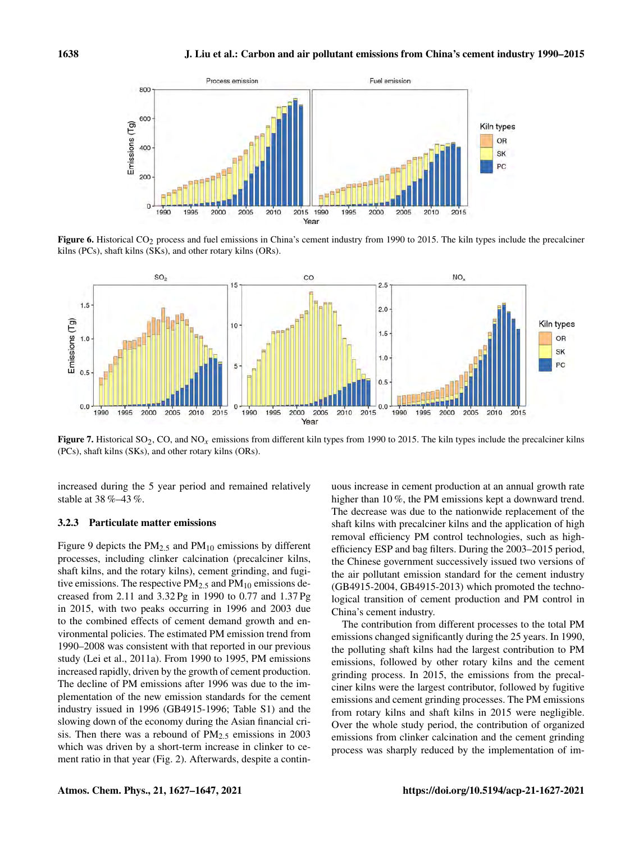

Figure 6. Historical CO<sub>2</sub> process and fuel emissions in China's cement industry from 1990 to 2015. The kiln types include the precalciner kilns (PCs), shaft kilns (SKs), and other rotary kilns (ORs).



Figure 7. Historical SO<sub>2</sub>, CO, and NO<sub>x</sub> emissions from different kiln types from 1990 to 2015. The kiln types include the precalciner kilns (PCs), shaft kilns (SKs), and other rotary kilns (ORs).

increased during the 5 year period and remained relatively stable at 38 %–43 %.

## 3.2.3 Particulate matter emissions

Figure 9 depicts the  $PM_{2.5}$  and  $PM_{10}$  emissions by different processes, including clinker calcination (precalciner kilns, shaft kilns, and the rotary kilns), cement grinding, and fugitive emissions. The respective  $PM_{2.5}$  and  $PM_{10}$  emissions decreased from 2.11 and 3.32 Pg in 1990 to 0.77 and 1.37 Pg in 2015, with two peaks occurring in 1996 and 2003 due to the combined effects of cement demand growth and environmental policies. The estimated PM emission trend from 1990–2008 was consistent with that reported in our previous study (Lei et al., 2011a). From 1990 to 1995, PM emissions increased rapidly, driven by the growth of cement production. The decline of PM emissions after 1996 was due to the implementation of the new emission standards for the cement industry issued in 1996 (GB4915-1996; Table S1) and the slowing down of the economy during the Asian financial crisis. Then there was a rebound of  $PM<sub>2.5</sub>$  emissions in 2003 which was driven by a short-term increase in clinker to cement ratio in that year (Fig. 2). Afterwards, despite a continuous increase in cement production at an annual growth rate higher than 10%, the PM emissions kept a downward trend. The decrease was due to the nationwide replacement of the shaft kilns with precalciner kilns and the application of high removal efficiency PM control technologies, such as highefficiency ESP and bag filters. During the 2003–2015 period, the Chinese government successively issued two versions of the air pollutant emission standard for the cement industry (GB4915-2004, GB4915-2013) which promoted the technological transition of cement production and PM control in China's cement industry.

The contribution from different processes to the total PM emissions changed significantly during the 25 years. In 1990, the polluting shaft kilns had the largest contribution to PM emissions, followed by other rotary kilns and the cement grinding process. In 2015, the emissions from the precalciner kilns were the largest contributor, followed by fugitive emissions and cement grinding processes. The PM emissions from rotary kilns and shaft kilns in 2015 were negligible. Over the whole study period, the contribution of organized emissions from clinker calcination and the cement grinding process was sharply reduced by the implementation of im-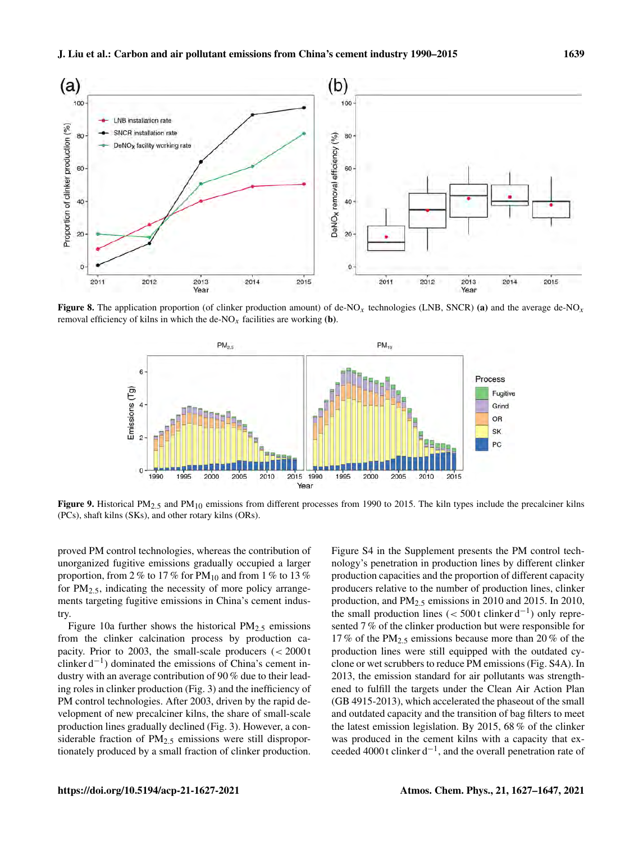

**Figure 8.** The application proportion (of clinker production amount) of de-NO<sub>x</sub> technologies (LNB, SNCR) (a) and the average de-NO<sub>x</sub> removal efficiency of kilns in which the de-NO<sub>x</sub> facilities are working (b).



Figure 9. Historical PM<sub>2.5</sub> and PM<sub>10</sub> emissions from different processes from 1990 to 2015. The kiln types include the precalciner kilns (PCs), shaft kilns (SKs), and other rotary kilns (ORs).

proved PM control technologies, whereas the contribution of unorganized fugitive emissions gradually occupied a larger proportion, from 2 % to 17 % for  $PM_{10}$  and from 1 % to 13 % for  $PM_{2.5}$ , indicating the necessity of more policy arrangements targeting fugitive emissions in China's cement industry.

Figure 10a further shows the historical  $PM_{2.5}$  emissions from the clinker calcination process by production capacity. Prior to 2003, the small-scale producers  $\ll 2000$  t clinker d−<sup>1</sup> ) dominated the emissions of China's cement industry with an average contribution of 90 % due to their leading roles in clinker production (Fig. 3) and the inefficiency of PM control technologies. After 2003, driven by the rapid development of new precalciner kilns, the share of small-scale production lines gradually declined (Fig. 3). However, a considerable fraction of  $PM_{2.5}$  emissions were still disproportionately produced by a small fraction of clinker production.

Figure S4 in the Supplement presents the PM control technology's penetration in production lines by different clinker production capacities and the proportion of different capacity producers relative to the number of production lines, clinker production, and PM2.<sup>5</sup> emissions in 2010 and 2015. In 2010, the small production lines ( $<$  500t clinker d<sup>-1</sup>) only represented 7 % of the clinker production but were responsible for 17 % of the  $PM_{2.5}$  emissions because more than 20 % of the production lines were still equipped with the outdated cyclone or wet scrubbers to reduce PM emissions (Fig. S4A). In 2013, the emission standard for air pollutants was strengthened to fulfill the targets under the Clean Air Action Plan (GB 4915-2013), which accelerated the phaseout of the small and outdated capacity and the transition of bag filters to meet the latest emission legislation. By 2015, 68 % of the clinker was produced in the cement kilns with a capacity that exceeded 4000 t clinker d−<sup>1</sup> , and the overall penetration rate of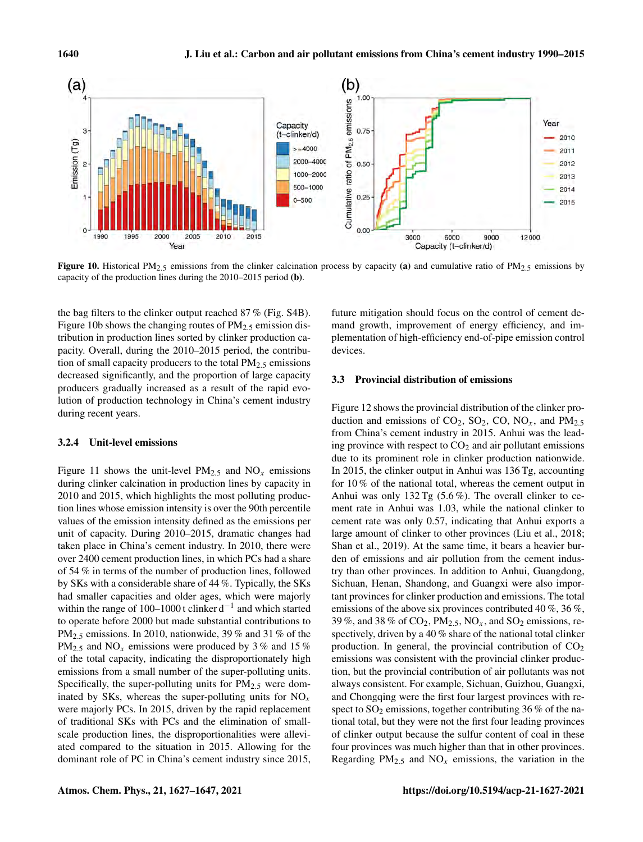

Figure 10. Historical PM<sub>2.5</sub> emissions from the clinker calcination process by capacity (a) and cumulative ratio of PM<sub>2.5</sub> emissions by capacity of the production lines during the 2010–2015 period (b).

the bag filters to the clinker output reached 87 % (Fig. S4B). Figure 10b shows the changing routes of  $PM_{2.5}$  emission distribution in production lines sorted by clinker production capacity. Overall, during the 2010–2015 period, the contribution of small capacity producers to the total  $PM_{2.5}$  emissions decreased significantly, and the proportion of large capacity producers gradually increased as a result of the rapid evolution of production technology in China's cement industry during recent years.

#### 3.2.4 Unit-level emissions

Figure 11 shows the unit-level  $PM_{2.5}$  and  $NO_x$  emissions during clinker calcination in production lines by capacity in 2010 and 2015, which highlights the most polluting production lines whose emission intensity is over the 90th percentile values of the emission intensity defined as the emissions per unit of capacity. During 2010–2015, dramatic changes had taken place in China's cement industry. In 2010, there were over 2400 cement production lines, in which PCs had a share of 54 % in terms of the number of production lines, followed by SKs with a considerable share of 44 %. Typically, the SKs had smaller capacities and older ages, which were majorly within the range of 100–1000 t clinker d<sup>-1</sup> and which started to operate before 2000 but made substantial contributions to PM<sub>2.5</sub> emissions. In 2010, nationwide, 39 % and 31 % of the  $PM_{2.5}$  and  $NO_x$  emissions were produced by 3% and 15% of the total capacity, indicating the disproportionately high emissions from a small number of the super-polluting units. Specifically, the super-polluting units for  $PM_{2.5}$  were dominated by SKs, whereas the super-polluting units for  $NO_x$ were majorly PCs. In 2015, driven by the rapid replacement of traditional SKs with PCs and the elimination of smallscale production lines, the disproportionalities were alleviated compared to the situation in 2015. Allowing for the dominant role of PC in China's cement industry since 2015, future mitigation should focus on the control of cement demand growth, improvement of energy efficiency, and implementation of high-efficiency end-of-pipe emission control devices.

## 3.3 Provincial distribution of emissions

Figure 12 shows the provincial distribution of the clinker production and emissions of  $CO_2$ ,  $SO_2$ ,  $CO$ ,  $NO_x$ , and  $PM_{2.5}$ from China's cement industry in 2015. Anhui was the leading province with respect to  $CO<sub>2</sub>$  and air pollutant emissions due to its prominent role in clinker production nationwide. In 2015, the clinker output in Anhui was 136 Tg, accounting for 10 % of the national total, whereas the cement output in Anhui was only  $132 \text{ Tg}$  (5.6%). The overall clinker to cement rate in Anhui was 1.03, while the national clinker to cement rate was only 0.57, indicating that Anhui exports a large amount of clinker to other provinces (Liu et al., 2018; Shan et al., 2019). At the same time, it bears a heavier burden of emissions and air pollution from the cement industry than other provinces. In addition to Anhui, Guangdong, Sichuan, Henan, Shandong, and Guangxi were also important provinces for clinker production and emissions. The total emissions of the above six provinces contributed 40 %, 36 %, 39 %, and 38 % of  $CO_2$ ,  $PM_{2.5}$ ,  $NO_x$ , and  $SO_2$  emissions, respectively, driven by a 40 % share of the national total clinker production. In general, the provincial contribution of  $CO<sub>2</sub>$ emissions was consistent with the provincial clinker production, but the provincial contribution of air pollutants was not always consistent. For example, Sichuan, Guizhou, Guangxi, and Chongqing were the first four largest provinces with respect to  $SO_2$  emissions, together contributing 36 % of the national total, but they were not the first four leading provinces of clinker output because the sulfur content of coal in these four provinces was much higher than that in other provinces. Regarding  $PM_{2.5}$  and  $NO_x$  emissions, the variation in the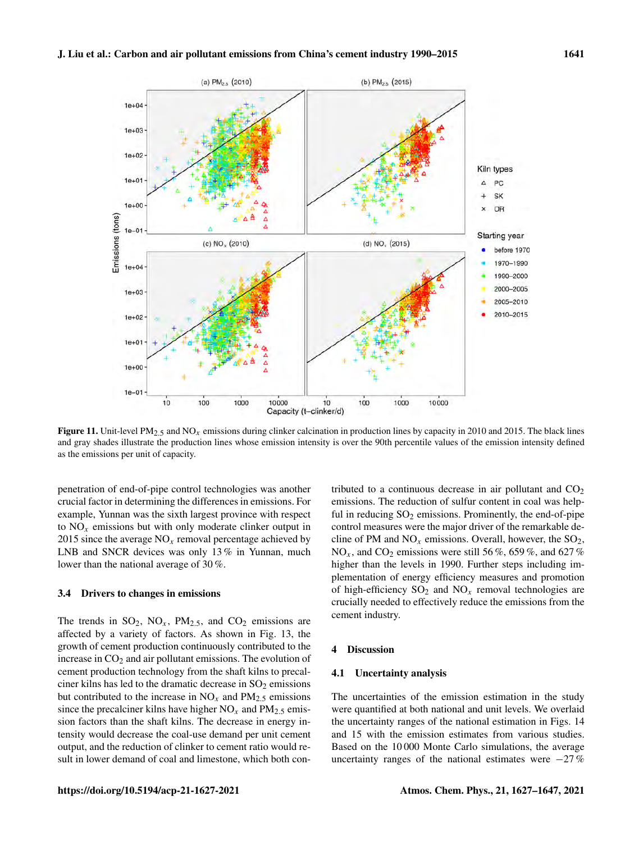

**Figure 11.** Unit-level PM<sub>2.5</sub> and NO<sub>x</sub> emissions during clinker calcination in production lines by capacity in 2010 and 2015. The black lines and gray shades illustrate the production lines whose emission intensity is over the 90th percentile values of the emission intensity defined as the emissions per unit of capacity.

penetration of end-of-pipe control technologies was another crucial factor in determining the differences in emissions. For example, Yunnan was the sixth largest province with respect to  $NO<sub>x</sub>$  emissions but with only moderate clinker output in 2015 since the average  $NO<sub>x</sub>$  removal percentage achieved by LNB and SNCR devices was only 13% in Yunnan, much lower than the national average of 30 %.

#### 3.4 Drivers to changes in emissions

The trends in  $SO_2$ ,  $NO_x$ ,  $PM_{2.5}$ , and  $CO_2$  emissions are affected by a variety of factors. As shown in Fig. 13, the growth of cement production continuously contributed to the increase in  $CO<sub>2</sub>$  and air pollutant emissions. The evolution of cement production technology from the shaft kilns to precalciner kilns has led to the dramatic decrease in  $SO<sub>2</sub>$  emissions but contributed to the increase in  $NO<sub>x</sub>$  and  $PM<sub>2.5</sub>$  emissions since the precalciner kilns have higher  $NO<sub>x</sub>$  and  $PM<sub>2.5</sub>$  emission factors than the shaft kilns. The decrease in energy intensity would decrease the coal-use demand per unit cement output, and the reduction of clinker to cement ratio would result in lower demand of coal and limestone, which both contributed to a continuous decrease in air pollutant and  $CO<sub>2</sub>$ emissions. The reduction of sulfur content in coal was helpful in reducing  $SO_2$  emissions. Prominently, the end-of-pipe control measures were the major driver of the remarkable decline of PM and  $NO<sub>x</sub>$  emissions. Overall, however, the  $SO<sub>2</sub>$ ,  $NO<sub>x</sub>$ , and  $CO<sub>2</sub>$  emissions were still 56 %, 659 %, and 627 % higher than the levels in 1990. Further steps including implementation of energy efficiency measures and promotion of high-efficiency  $SO_2$  and  $NO_x$  removal technologies are crucially needed to effectively reduce the emissions from the cement industry.

## 4 Discussion

#### 4.1 Uncertainty analysis

The uncertainties of the emission estimation in the study were quantified at both national and unit levels. We overlaid the uncertainty ranges of the national estimation in Figs. 14 and 15 with the emission estimates from various studies. Based on the 10 000 Monte Carlo simulations, the average uncertainty ranges of the national estimates were  $-27\%$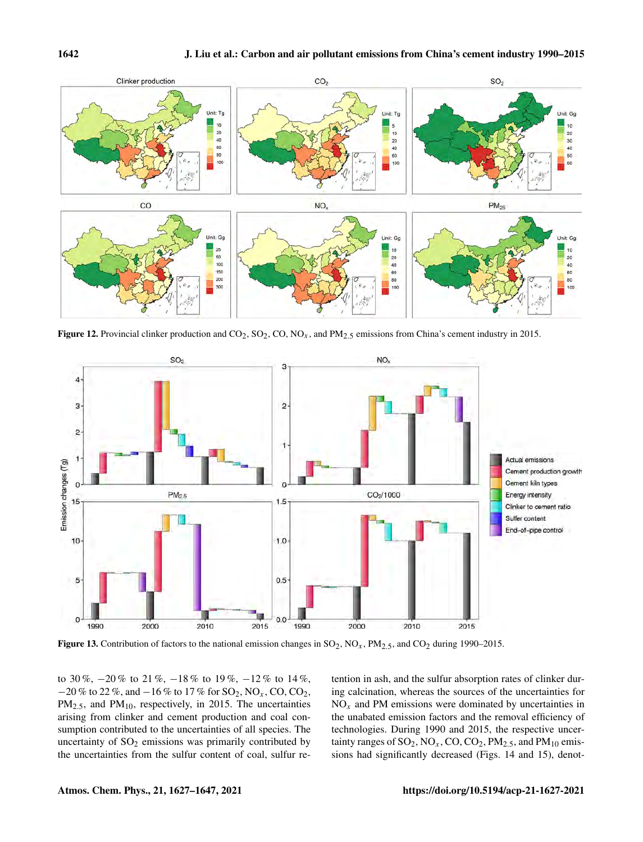

Figure 12. Provincial clinker production and  $CO_2$ ,  $SO_2$ ,  $CO$ ,  $NO_x$ , and  $PM_{2.5}$  emissions from China's cement industry in 2015.



Figure 13. Contribution of factors to the national emission changes in  $SO_2$ ,  $NO_x$ ,  $PM_{2.5}$ , and  $CO_2$  during 1990–2015.

to 30 %,  $-20\%$  to 21 %,  $-18\%$  to 19 %,  $-12\%$  to 14 %,  $-20\%$  to 22 %, and  $-16\%$  to 17 % for SO<sub>2</sub>, NO<sub>x</sub>, CO, CO<sub>2</sub>,  $PM_{2.5}$ , and  $PM_{10}$ , respectively, in 2015. The uncertainties arising from clinker and cement production and coal consumption contributed to the uncertainties of all species. The uncertainty of  $SO<sub>2</sub>$  emissions was primarily contributed by the uncertainties from the sulfur content of coal, sulfur retention in ash, and the sulfur absorption rates of clinker during calcination, whereas the sources of the uncertainties for  $NO<sub>x</sub>$  and PM emissions were dominated by uncertainties in the unabated emission factors and the removal efficiency of technologies. During 1990 and 2015, the respective uncertainty ranges of  $SO_2$ ,  $NO_x$ ,  $CO$ ,  $CO_2$ ,  $PM_{2.5}$ , and  $PM_{10}$  emissions had significantly decreased (Figs. 14 and 15), denot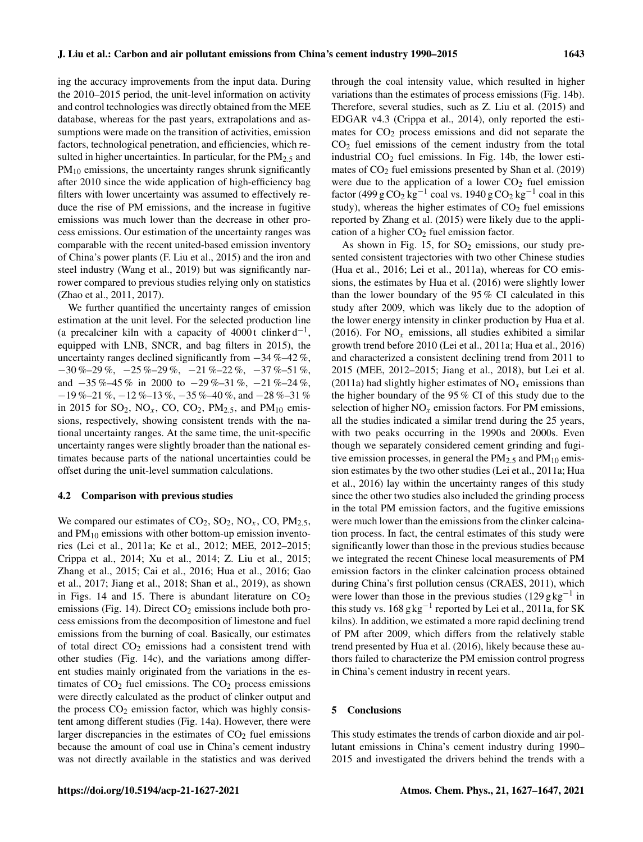ing the accuracy improvements from the input data. During the 2010–2015 period, the unit-level information on activity and control technologies was directly obtained from the MEE database, whereas for the past years, extrapolations and assumptions were made on the transition of activities, emission factors, technological penetration, and efficiencies, which resulted in higher uncertainties. In particular, for the  $PM_{2.5}$  and  $PM_{10}$  emissions, the uncertainty ranges shrunk significantly after 2010 since the wide application of high-efficiency bag filters with lower uncertainty was assumed to effectively reduce the rise of PM emissions, and the increase in fugitive emissions was much lower than the decrease in other process emissions. Our estimation of the uncertainty ranges was comparable with the recent united-based emission inventory of China's power plants (F. Liu et al., 2015) and the iron and steel industry (Wang et al., 2019) but was significantly narrower compared to previous studies relying only on statistics (Zhao et al., 2011, 2017).

We further quantified the uncertainty ranges of emission estimation at the unit level. For the selected production line (a precalciner kiln with a capacity of 4000 t clinker  $d^{-1}$ , equipped with LNB, SNCR, and bag filters in 2015), the uncertainty ranges declined significantly from −34 %–42 %,  $-30\% -29\%$ ,  $-25\% -29\%$ ,  $-21\% -22\%$ ,  $-37\% -51\%$ , and  $-35\% -45\%$  in 2000 to  $-29\% -31\%$ ,  $-21\% -24\%$ , −19 %–21 %, −12 %–13 %, −35 %–40 %, and −28 %–31 % in 2015 for  $SO_2$ ,  $NO_x$ ,  $CO$ ,  $CO_2$ ,  $PM_{2.5}$ , and  $PM_{10}$  emissions, respectively, showing consistent trends with the national uncertainty ranges. At the same time, the unit-specific uncertainty ranges were slightly broader than the national estimates because parts of the national uncertainties could be offset during the unit-level summation calculations.

#### 4.2 Comparison with previous studies

We compared our estimates of  $CO_2$ ,  $SO_2$ ,  $NO_x$ ,  $CO$ ,  $PM_{2.5}$ , and  $PM_{10}$  emissions with other bottom-up emission inventories (Lei et al., 2011a; Ke et al., 2012; MEE, 2012–2015; Crippa et al., 2014; Xu et al., 2014; Z. Liu et al., 2015; Zhang et al., 2015; Cai et al., 2016; Hua et al., 2016; Gao et al., 2017; Jiang et al., 2018; Shan et al., 2019), as shown in Figs. 14 and 15. There is abundant literature on  $CO<sub>2</sub>$ emissions (Fig. 14). Direct  $CO<sub>2</sub>$  emissions include both process emissions from the decomposition of limestone and fuel emissions from the burning of coal. Basically, our estimates of total direct  $CO<sub>2</sub>$  emissions had a consistent trend with other studies (Fig. 14c), and the variations among different studies mainly originated from the variations in the estimates of  $CO<sub>2</sub>$  fuel emissions. The  $CO<sub>2</sub>$  process emissions were directly calculated as the product of clinker output and the process  $CO<sub>2</sub>$  emission factor, which was highly consistent among different studies (Fig. 14a). However, there were larger discrepancies in the estimates of  $CO<sub>2</sub>$  fuel emissions because the amount of coal use in China's cement industry was not directly available in the statistics and was derived through the coal intensity value, which resulted in higher variations than the estimates of process emissions (Fig. 14b). Therefore, several studies, such as Z. Liu et al. (2015) and EDGAR v4.3 (Crippa et al., 2014), only reported the estimates for  $CO<sub>2</sub>$  process emissions and did not separate the  $CO<sub>2</sub>$  fuel emissions of the cement industry from the total industrial  $CO<sub>2</sub>$  fuel emissions. In Fig. 14b, the lower estimates of  $CO<sub>2</sub>$  fuel emissions presented by Shan et al. (2019) were due to the application of a lower  $CO<sub>2</sub>$  fuel emission factor (499 g  $CO_2$  kg<sup>-1</sup> coal vs. 1940 g  $CO_2$  kg<sup>-1</sup> coal in this study), whereas the higher estimates of  $CO<sub>2</sub>$  fuel emissions reported by Zhang et al. (2015) were likely due to the application of a higher  $CO<sub>2</sub>$  fuel emission factor.

As shown in Fig.  $15$ , for  $SO<sub>2</sub>$  emissions, our study presented consistent trajectories with two other Chinese studies (Hua et al., 2016; Lei et al., 2011a), whereas for CO emissions, the estimates by Hua et al. (2016) were slightly lower than the lower boundary of the 95 % CI calculated in this study after 2009, which was likely due to the adoption of the lower energy intensity in clinker production by Hua et al. (2016). For  $NO_x$  emissions, all studies exhibited a similar growth trend before 2010 (Lei et al., 2011a; Hua et al., 2016) and characterized a consistent declining trend from 2011 to 2015 (MEE, 2012–2015; Jiang et al., 2018), but Lei et al. (2011a) had slightly higher estimates of  $NO<sub>x</sub>$  emissions than the higher boundary of the 95 % CI of this study due to the selection of higher  $NO<sub>x</sub>$  emission factors. For PM emissions, all the studies indicated a similar trend during the 25 years, with two peaks occurring in the 1990s and 2000s. Even though we separately considered cement grinding and fugitive emission processes, in general the  $PM_{2.5}$  and  $PM_{10}$  emission estimates by the two other studies (Lei et al., 2011a; Hua et al., 2016) lay within the uncertainty ranges of this study since the other two studies also included the grinding process in the total PM emission factors, and the fugitive emissions were much lower than the emissions from the clinker calcination process. In fact, the central estimates of this study were significantly lower than those in the previous studies because we integrated the recent Chinese local measurements of PM emission factors in the clinker calcination process obtained during China's first pollution census (CRAES, 2011), which were lower than those in the previous studies (129 g kg<sup>-1</sup> in this study vs.  $168$  g kg<sup>-1</sup> reported by Lei et al., 2011a, for SK kilns). In addition, we estimated a more rapid declining trend of PM after 2009, which differs from the relatively stable trend presented by Hua et al. (2016), likely because these authors failed to characterize the PM emission control progress in China's cement industry in recent years.

# 5 Conclusions

This study estimates the trends of carbon dioxide and air pollutant emissions in China's cement industry during 1990– 2015 and investigated the drivers behind the trends with a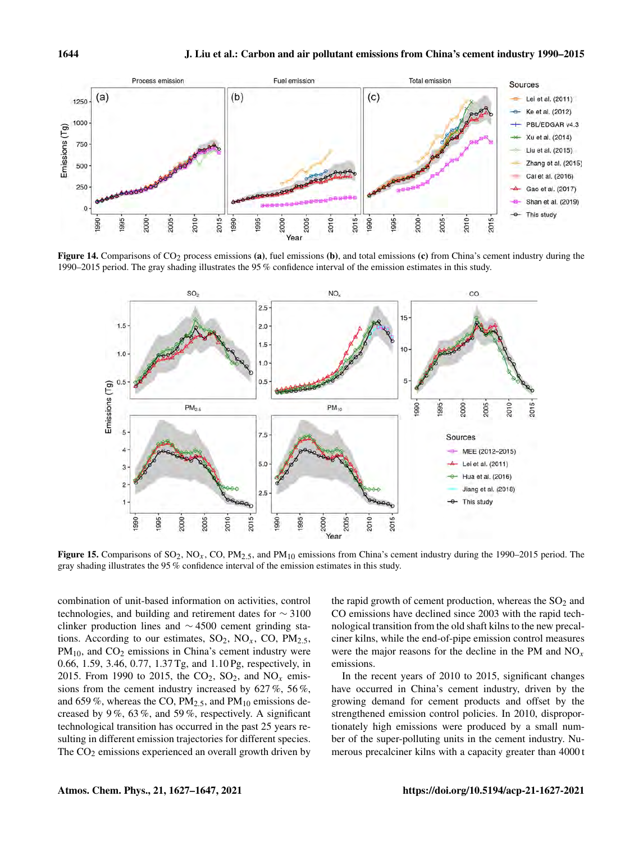

Figure 14. Comparisons of CO<sub>2</sub> process emissions (a), fuel emissions (b), and total emissions (c) from China's cement industry during the 1990–2015 period. The gray shading illustrates the 95 % confidence interval of the emission estimates in this study.



Figure 15. Comparisons of  $SO_2$ ,  $NO_x$ ,  $CO$ ,  $PM_{2.5}$ , and  $PM_{10}$  emissions from China's cement industry during the 1990–2015 period. The gray shading illustrates the 95 % confidence interval of the emission estimates in this study.

combination of unit-based information on activities, control technologies, and building and retirement dates for ∼ 3100 clinker production lines and ∼ 4500 cement grinding stations. According to our estimates,  $SO_2$ ,  $NO_x$ ,  $CO$ ,  $PM_{2.5}$ ,  $PM_{10}$ , and  $CO<sub>2</sub>$  emissions in China's cement industry were 0.66, 1.59, 3.46, 0.77, 1.37 Tg, and 1.10 Pg, respectively, in 2015. From 1990 to 2015, the  $CO_2$ ,  $SO_2$ , and  $NO_x$  emissions from the cement industry increased by  $627\%$ ,  $56\%$ , and 659 %, whereas the CO,  $PM_{2.5}$ , and  $PM_{10}$  emissions decreased by 9 %, 63 %, and 59 %, respectively. A significant technological transition has occurred in the past 25 years resulting in different emission trajectories for different species. The  $CO<sub>2</sub>$  emissions experienced an overall growth driven by the rapid growth of cement production, whereas the  $SO<sub>2</sub>$  and CO emissions have declined since 2003 with the rapid technological transition from the old shaft kilns to the new precalciner kilns, while the end-of-pipe emission control measures were the major reasons for the decline in the PM and  $NO<sub>x</sub>$ emissions.

In the recent years of 2010 to 2015, significant changes have occurred in China's cement industry, driven by the growing demand for cement products and offset by the strengthened emission control policies. In 2010, disproportionately high emissions were produced by a small number of the super-polluting units in the cement industry. Numerous precalciner kilns with a capacity greater than 4000 t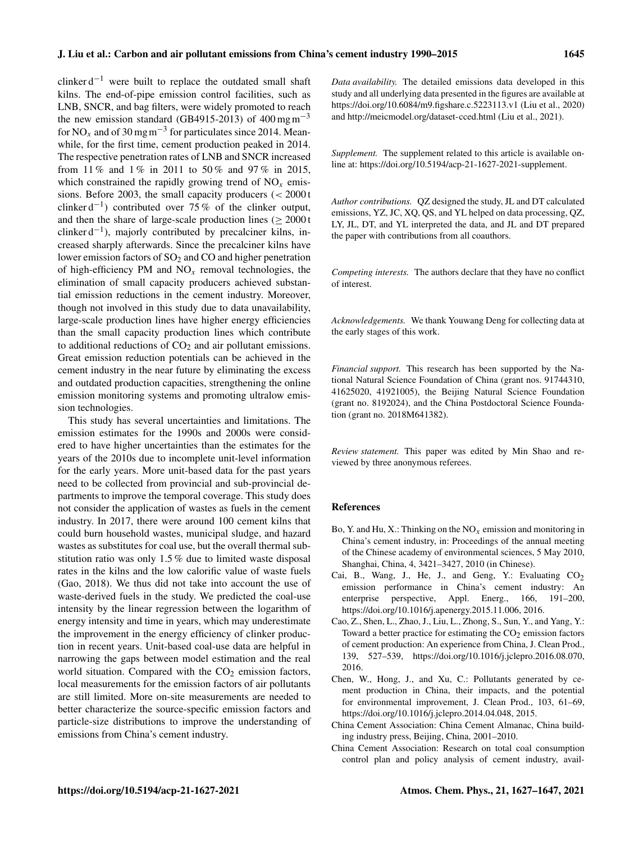clinker  $d^{-1}$  were built to replace the outdated small shaft kilns. The end-of-pipe emission control facilities, such as LNB, SNCR, and bag filters, were widely promoted to reach the new emission standard (GB4915-2013) of  $400 \text{ mg m}^{-3}$ for NO<sub>x</sub> and of 30 mg m<sup>-3</sup> for particulates since 2014. Meanwhile, for the first time, cement production peaked in 2014. The respective penetration rates of LNB and SNCR increased from 11% and 1% in 2011 to 50% and 97% in 2015, which constrained the rapidly growing trend of  $NO<sub>x</sub>$  emissions. Before 2003, the small capacity producers  $\left( < 2000 \text{ t} \right)$ clinker d<sup>-1</sup>) contributed over 75 % of the clinker output, and then the share of large-scale production lines  $(> 2000 t$ clinker  $d^{-1}$ ), majorly contributed by precalciner kilns, increased sharply afterwards. Since the precalciner kilns have lower emission factors of  $SO<sub>2</sub>$  and CO and higher penetration of high-efficiency PM and  $NO<sub>x</sub>$  removal technologies, the elimination of small capacity producers achieved substantial emission reductions in the cement industry. Moreover, though not involved in this study due to data unavailability, large-scale production lines have higher energy efficiencies than the small capacity production lines which contribute to additional reductions of  $CO<sub>2</sub>$  and air pollutant emissions. Great emission reduction potentials can be achieved in the cement industry in the near future by eliminating the excess and outdated production capacities, strengthening the online emission monitoring systems and promoting ultralow emission technologies.

This study has several uncertainties and limitations. The emission estimates for the 1990s and 2000s were considered to have higher uncertainties than the estimates for the years of the 2010s due to incomplete unit-level information for the early years. More unit-based data for the past years need to be collected from provincial and sub-provincial departments to improve the temporal coverage. This study does not consider the application of wastes as fuels in the cement industry. In 2017, there were around 100 cement kilns that could burn household wastes, municipal sludge, and hazard wastes as substitutes for coal use, but the overall thermal substitution ratio was only 1.5 % due to limited waste disposal rates in the kilns and the low calorific value of waste fuels (Gao, 2018). We thus did not take into account the use of waste-derived fuels in the study. We predicted the coal-use intensity by the linear regression between the logarithm of energy intensity and time in years, which may underestimate the improvement in the energy efficiency of clinker production in recent years. Unit-based coal-use data are helpful in narrowing the gaps between model estimation and the real world situation. Compared with the  $CO<sub>2</sub>$  emission factors, local measurements for the emission factors of air pollutants are still limited. More on-site measurements are needed to better characterize the source-specific emission factors and particle-size distributions to improve the understanding of emissions from China's cement industry.

*Data availability.* The detailed emissions data developed in this study and all underlying data presented in the figures are available at https://doi.org[/10.6084/m9.figshare.c.5223113.v1](https://doi.org/10.6084/m9.figshare.c.5223113.v1) (Liu et al., 2020) and<http://meicmodel.org/dataset-cced.html> (Liu et al., 2021).

*Supplement.* The supplement related to this article is available online at: [https://doi.org/10.5194/acp-21-1627-2021-supplement.](https://doi.org/10.5194/acp-21-1627-2021-supplement)

*Author contributions.* QZ designed the study, JL and DT calculated emissions, YZ, JC, XQ, QS, and YL helped on data processing, QZ, LY, JL, DT, and YL interpreted the data, and JL and DT prepared the paper with contributions from all coauthors.

*Competing interests.* The authors declare that they have no conflict of interest.

*Acknowledgements.* We thank Youwang Deng for collecting data at the early stages of this work.

*Financial support.* This research has been supported by the National Natural Science Foundation of China (grant nos. 91744310, 41625020, 41921005), the Beijing Natural Science Foundation (grant no. 8192024), and the China Postdoctoral Science Foundation (grant no. 2018M641382).

*Review statement.* This paper was edited by Min Shao and reviewed by three anonymous referees.

#### **References**

- Bo, Y. and Hu, X.: Thinking on the  $NO<sub>x</sub>$  emission and monitoring in China's cement industry, in: Proceedings of the annual meeting of the Chinese academy of environmental sciences, 5 May 2010, Shanghai, China, 4, 3421–3427, 2010 (in Chinese).
- Cai, B., Wang, J., He, J., and Geng, Y.: Evaluating  $CO<sub>2</sub>$ emission performance in China's cement industry: An enterprise perspective, Appl. Energ., 166, 191–200, https://doi.org[/10.1016/j.apenergy.2015.11.006,](https://doi.org/10.1016/j.apenergy.2015.11.006) 2016.
- Cao, Z., Shen, L., Zhao, J., Liu, L., Zhong, S., Sun, Y., and Yang, Y.: Toward a better practice for estimating the  $CO<sub>2</sub>$  emission factors of cement production: An experience from China, J. Clean Prod., 139, 527–539, https://doi.org[/10.1016/j.jclepro.2016.08.070,](https://doi.org/10.1016/j.jclepro.2016.08.070) 2016.
- Chen, W., Hong, J., and Xu, C.: Pollutants generated by cement production in China, their impacts, and the potential for environmental improvement, J. Clean Prod., 103, 61–69, https://doi.org[/10.1016/j.jclepro.2014.04.048,](https://doi.org/10.1016/j.jclepro.2014.04.048) 2015.
- China Cement Association: China Cement Almanac, China building industry press, Beijing, China, 2001–2010.
- China Cement Association: Research on total coal consumption control plan and policy analysis of cement industry, avail-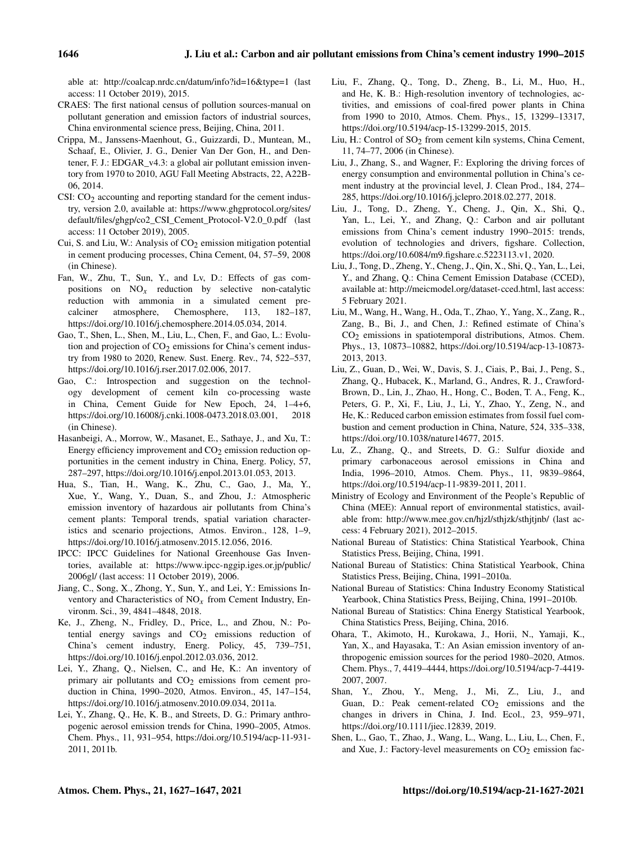able at:<http://coalcap.nrdc.cn/datum/info?id=16&type=1> (last access: 11 October 2019), 2015.

- CRAES: The first national census of pollution sources-manual on pollutant generation and emission factors of industrial sources, China environmental science press, Beijing, China, 2011.
- Crippa, M., Janssens-Maenhout, G., Guizzardi, D., Muntean, M., Schaaf, E., Olivier, J. G., Denier Van Der Gon, H., and Dentener, F. J.: EDGAR\_v4.3: a global air pollutant emission inventory from 1970 to 2010, AGU Fall Meeting Abstracts, 22, A22B-06, 2014.
- CSI:  $CO<sub>2</sub>$  accounting and reporting standard for the cement industry, version 2.0, available at: [https://www.ghgprotocol.org/sites/](https://www.ghgprotocol.org/sites/default/files/ghgp/co2_CSI_Cement_Protocol-V2.0_0.pdf) [default/files/ghgp/co2\\_CSI\\_Cement\\_Protocol-V2.0\\_0.pdf](https://www.ghgprotocol.org/sites/default/files/ghgp/co2_CSI_Cement_Protocol-V2.0_0.pdf) (last access: 11 October 2019), 2005.
- Cui, S. and Liu, W.: Analysis of  $CO<sub>2</sub>$  emission mitigation potential in cement producing processes, China Cement, 04, 57–59, 2008 (in Chinese).
- Fan, W., Zhu, T., Sun, Y., and Lv, D.: Effects of gas compositions on  $NO<sub>x</sub>$  reduction by selective non-catalytic reduction with ammonia in a simulated cement pre-<br>calciner atmosphere, Chemosphere, 113, 182-187, atmosphere, Chemosphere, 113, 182-187, https://doi.org[/10.1016/j.chemosphere.2014.05.034,](https://doi.org/10.1016/j.chemosphere.2014.05.034) 2014.
- Gao, T., Shen, L., Shen, M., Liu, L., Chen, F., and Gao, L.: Evolution and projection of  $CO<sub>2</sub>$  emissions for China's cement industry from 1980 to 2020, Renew. Sust. Energ. Rev., 74, 522–537, https://doi.org[/10.1016/j.rser.2017.02.006,](https://doi.org/10.1016/j.rser.2017.02.006) 2017.
- Gao, C.: Introspection and suggestion on the technology development of cement kiln co-processing waste in China, Cement Guide for New Epoch, 24, 1–4+6, https://doi.org[/10.16008/j.cnki.1008-0473.2018.03.001,](https://doi.org/10.16008/j.cnki.1008-0473.2018.03.001) 2018 (in Chinese).
- Hasanbeigi, A., Morrow, W., Masanet, E., Sathaye, J., and Xu, T.: Energy efficiency improvement and  $CO<sub>2</sub>$  emission reduction opportunities in the cement industry in China, Energ. Policy, 57, 287–297, https://doi.org[/10.1016/j.enpol.2013.01.053,](https://doi.org/10.1016/j.enpol.2013.01.053) 2013.
- Hua, S., Tian, H., Wang, K., Zhu, C., Gao, J., Ma, Y., Xue, Y., Wang, Y., Duan, S., and Zhou, J.: Atmospheric emission inventory of hazardous air pollutants from China's cement plants: Temporal trends, spatial variation characteristics and scenario projections, Atmos. Environ., 128, 1–9, https://doi.org[/10.1016/j.atmosenv.2015.12.056,](https://doi.org/10.1016/j.atmosenv.2015.12.056) 2016.
- IPCC: IPCC Guidelines for National Greenhouse Gas Inventories, available at: [https://www.ipcc-nggip.iges.or.jp/public/](https://www.ipcc-nggip.iges.or.jp/public/2006gl/) [2006gl/](https://www.ipcc-nggip.iges.or.jp/public/2006gl/) (last access: 11 October 2019), 2006.
- Jiang, C., Song, X., Zhong, Y., Sun, Y., and Lei, Y.: Emissions Inventory and Characteristics of  $NO<sub>x</sub>$  from Cement Industry, Environm. Sci., 39, 4841–4848, 2018.
- Ke, J., Zheng, N., Fridley, D., Price, L., and Zhou, N.: Potential energy savings and  $CO<sub>2</sub>$  emissions reduction of China's cement industry, Energ. Policy, 45, 739–751, https://doi.org[/10.1016/j.enpol.2012.03.036,](https://doi.org/10.1016/j.enpol.2012.03.036) 2012.
- Lei, Y., Zhang, Q., Nielsen, C., and He, K.: An inventory of primary air pollutants and  $CO<sub>2</sub>$  emissions from cement production in China, 1990–2020, Atmos. Environ., 45, 147–154, https://doi.org[/10.1016/j.atmosenv.2010.09.034,](https://doi.org/10.1016/j.atmosenv.2010.09.034) 2011a.
- Lei, Y., Zhang, Q., He, K. B., and Streets, D. G.: Primary anthropogenic aerosol emission trends for China, 1990–2005, Atmos. Chem. Phys., 11, 931–954, https://doi.org[/10.5194/acp-11-931-](https://doi.org/10.5194/acp-11-931-2011) [2011,](https://doi.org/10.5194/acp-11-931-2011) 2011b.
- Liu, F., Zhang, Q., Tong, D., Zheng, B., Li, M., Huo, H., and He, K. B.: High-resolution inventory of technologies, activities, and emissions of coal-fired power plants in China from 1990 to 2010, Atmos. Chem. Phys., 15, 13299–13317, https://doi.org[/10.5194/acp-15-13299-2015,](https://doi.org/10.5194/acp-15-13299-2015) 2015.
- Liu, H.: Control of  $SO<sub>2</sub>$  from cement kiln systems, China Cement, 11, 74–77, 2006 (in Chinese).
- Liu, J., Zhang, S., and Wagner, F.: Exploring the driving forces of energy consumption and environmental pollution in China's cement industry at the provincial level, J. Clean Prod., 184, 274– 285, https://doi.org[/10.1016/j.jclepro.2018.02.277,](https://doi.org/10.1016/j.jclepro.2018.02.277) 2018.
- Liu, J., Tong, D., Zheng, Y., Cheng, J., Qin, X., Shi, Q., Yan, L., Lei, Y., and Zhang, Q.: Carbon and air pollutant emissions from China's cement industry 1990–2015: trends, evolution of technologies and drivers, figshare. Collection, https://doi.org[/10.6084/m9.figshare.c.5223113.v1,](https://doi.org/10.6084/m9.figshare.c.5223113.v1) 2020.
- Liu, J., Tong, D., Zheng, Y., Cheng, J., Qin, X., Shi, Q., Yan, L., Lei, Y., and Zhang, Q.: China Cement Emission Database (CCED), available at: [http://meicmodel.org/dataset-cced.html,](http://meicmodel.org/dataset-cced.html) last access: 5 February 2021.
- Liu, M., Wang, H., Wang, H., Oda, T., Zhao, Y., Yang, X., Zang, R., Zang, B., Bi, J., and Chen, J.: Refined estimate of China's  $CO<sub>2</sub>$  emissions in spatiotemporal distributions, Atmos. Chem. Phys., 13, 10873–10882, https://doi.org[/10.5194/acp-13-10873-](https://doi.org/10.5194/acp-13-10873-2013) [2013,](https://doi.org/10.5194/acp-13-10873-2013) 2013.
- Liu, Z., Guan, D., Wei, W., Davis, S. J., Ciais, P., Bai, J., Peng, S., Zhang, Q., Hubacek, K., Marland, G., Andres, R. J., Crawford-Brown, D., Lin, J., Zhao, H., Hong, C., Boden, T. A., Feng, K., Peters, G. P., Xi, F., Liu, J., Li, Y., Zhao, Y., Zeng, N., and He, K.: Reduced carbon emission estimates from fossil fuel combustion and cement production in China, Nature, 524, 335–338, https://doi.org[/10.1038/nature14677,](https://doi.org/10.1038/nature14677) 2015.
- Lu, Z., Zhang, Q., and Streets, D. G.: Sulfur dioxide and primary carbonaceous aerosol emissions in China and India, 1996–2010, Atmos. Chem. Phys., 11, 9839–9864, https://doi.org[/10.5194/acp-11-9839-2011,](https://doi.org/10.5194/acp-11-9839-2011) 2011.
- Ministry of Ecology and Environment of the People's Republic of China (MEE): Annual report of environmental statistics, available from:<http://www.mee.gov.cn/hjzl/sthjzk/sthjtjnb/> (last access: 4 February 2021), 2012–2015.
- National Bureau of Statistics: China Statistical Yearbook, China Statistics Press, Beijing, China, 1991.
- National Bureau of Statistics: China Statistical Yearbook, China Statistics Press, Beijing, China, 1991–2010a.
- National Bureau of Statistics: China Industry Economy Statistical Yearbook, China Statistics Press, Beijing, China, 1991–2010b.
- National Bureau of Statistics: China Energy Statistical Yearbook, China Statistics Press, Beijing, China, 2016.
- Ohara, T., Akimoto, H., Kurokawa, J., Horii, N., Yamaji, K., Yan, X., and Hayasaka, T.: An Asian emission inventory of anthropogenic emission sources for the period 1980–2020, Atmos. Chem. Phys., 7, 4419–4444, https://doi.org[/10.5194/acp-7-4419-](https://doi.org/10.5194/acp-7-4419-2007) [2007,](https://doi.org/10.5194/acp-7-4419-2007) 2007.
- Shan, Y., Zhou, Y., Meng, J., Mi, Z., Liu, J., and Guan, D.: Peak cement-related  $CO<sub>2</sub>$  emissions and the changes in drivers in China, J. Ind. Ecol., 23, 959–971, https://doi.org[/10.1111/jiec.12839,](https://doi.org/10.1111/jiec.12839) 2019.
- Shen, L., Gao, T., Zhao, J., Wang, L., Wang, L., Liu, L., Chen, F., and Xue, J.: Factory-level measurements on  $CO<sub>2</sub>$  emission fac-